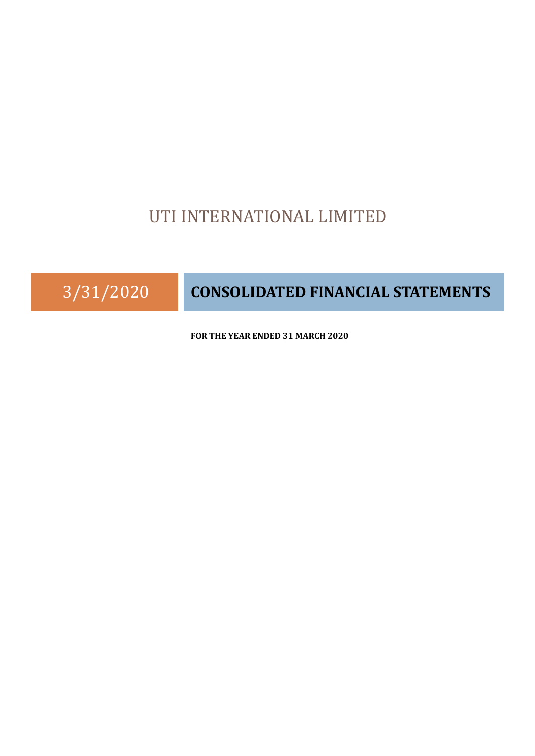# **UTI INTERNATIONAL LIMITED**

# 3/31/2020 **CONSOLIDATED FINANCIAL STATEMENTS**

**FOR THE YEAR ENDED 31 MARCH 2020**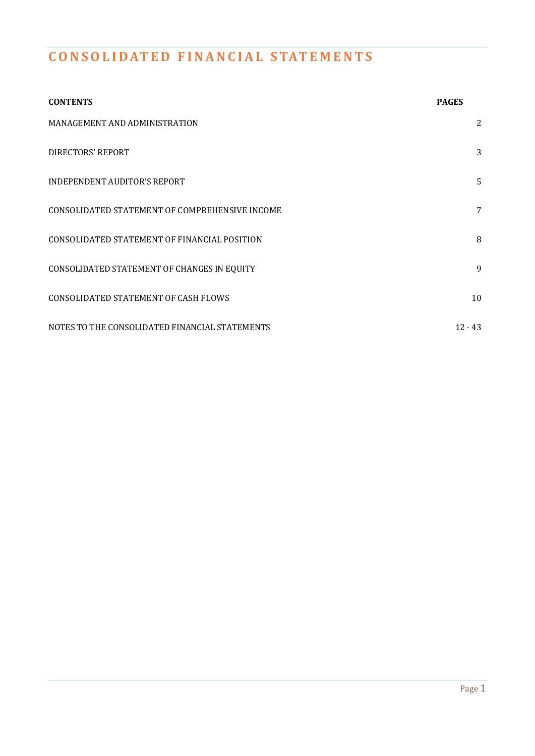# **C O N S O L I D AT E D F I N A N C I A L S TAT E M E N T S**

| <b>CONTENTS</b>                                | <b>PAGES</b> |
|------------------------------------------------|--------------|
| MANAGEMENT AND ADMINISTRATION                  | 2            |
| <b>DIRECTORS' REPORT</b>                       | 3            |
| <b>INDEPENDENT AUDITOR'S REPORT</b>            | 5            |
| CONSOLIDATED STATEMENT OF COMPREHENSIVE INCOME | 7            |
| CONSOLIDATED STATEMENT OF FINANCIAL POSITION   | 8            |
| CONSOLIDATED STATEMENT OF CHANGES IN EQUITY    | 9            |
| CONSOLIDATED STATEMENT OF CASH FLOWS           | 10           |
| NOTES TO THE CONSOLIDATED FINANCIAL STATEMENTS | $12 - 43$    |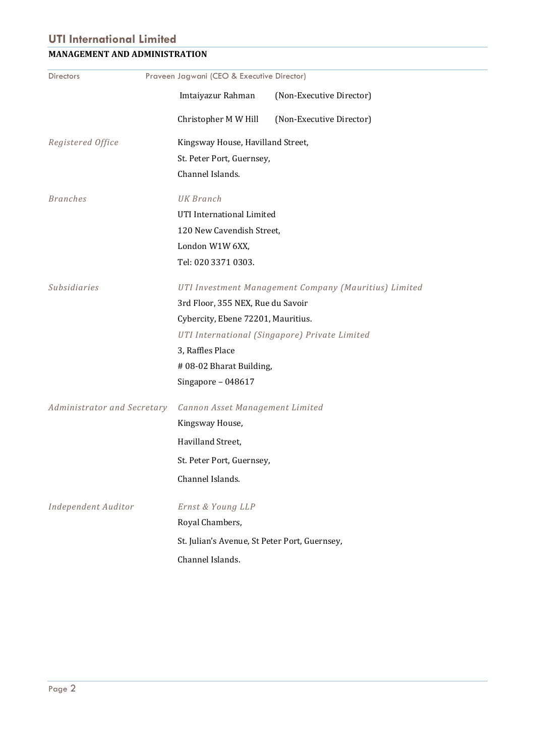| <b>MANAGEMENT AND ADMINISTRATION</b> |                                               |                                                       |
|--------------------------------------|-----------------------------------------------|-------------------------------------------------------|
| <b>Directors</b>                     | Praveen Jagwani (CEO & Executive Director)    |                                                       |
|                                      | Imtaiyazur Rahman                             | (Non-Executive Director)                              |
|                                      | Christopher M W Hill                          | (Non-Executive Director)                              |
| Registered Office                    | Kingsway House, Havilland Street,             |                                                       |
|                                      | St. Peter Port, Guernsey,                     |                                                       |
|                                      | Channel Islands.                              |                                                       |
| <b>Branches</b>                      | <b>UK</b> Branch                              |                                                       |
|                                      | UTI International Limited                     |                                                       |
|                                      | 120 New Cavendish Street,                     |                                                       |
|                                      | London W1W 6XX,                               |                                                       |
|                                      | Tel: 020 3371 0303.                           |                                                       |
| Subsidiaries                         |                                               | UTI Investment Management Company (Mauritius) Limited |
|                                      | 3rd Floor, 355 NEX, Rue du Savoir             |                                                       |
|                                      | Cybercity, Ebene 72201, Mauritius.            |                                                       |
|                                      |                                               | UTI International (Singapore) Private Limited         |
|                                      | 3, Raffles Place                              |                                                       |
|                                      | #08-02 Bharat Building,                       |                                                       |
|                                      | Singapore - 048617                            |                                                       |
| Administrator and Secretary          | Cannon Asset Management Limited               |                                                       |
|                                      | Kingsway House,                               |                                                       |
|                                      | Havilland Street,                             |                                                       |
|                                      | St. Peter Port, Guernsey,                     |                                                       |
|                                      | Channel Islands.                              |                                                       |
| Independent Auditor                  | Ernst & Young LLP                             |                                                       |
|                                      | Royal Chambers,                               |                                                       |
|                                      | St. Julian's Avenue, St Peter Port, Guernsey, |                                                       |
|                                      | Channel Islands.                              |                                                       |
|                                      |                                               |                                                       |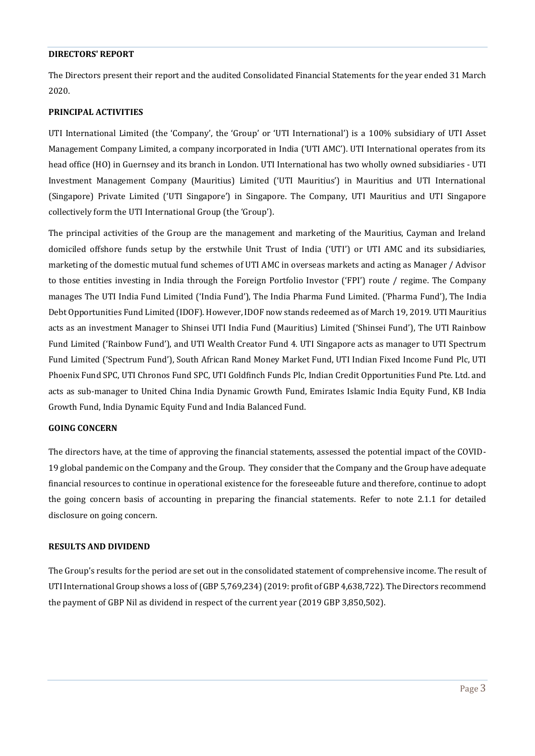#### **DIRECTORS' REPORT**

The Directors present their report and the audited Consolidated Financial Statements for the year ended 31 March 2020.

#### **PRINCIPAL ACTIVITIES**

UTI International Limited (the 'Company', the 'Group' or 'UTI International') is a 100% subsidiary of UTI Asset Management Company Limited, a company incorporated in India ('UTI AMC'). UTI International operates from its head office (HO) in Guernsey and its branch in London. UTI International has two wholly owned subsidiaries - UTI Investment Management Company (Mauritius) Limited ('UTI Mauritius') in Mauritius and UTI International (Singapore) Private Limited ('UTI Singapore') in Singapore. The Company, UTI Mauritius and UTI Singapore collectively form the UTI International Group (the 'Group').

The principal activities of the Group are the management and marketing of the Mauritius, Cayman and Ireland domiciled offshore funds setup by the erstwhile Unit Trust of India ('UTI') or UTI AMC and its subsidiaries, marketing of the domestic mutual fund schemes of UTI AMC in overseas markets and acting as Manager / Advisor to those entities investing in India through the Foreign Portfolio Investor ('FPI') route / regime. The Company manages The UTI India Fund Limited ('India Fund'), The India Pharma Fund Limited. ('Pharma Fund'), The India Debt Opportunities Fund Limited (IDOF). However, IDOF now stands redeemed as of March 19, 2019. UTI Mauritius acts as an investment Manager to Shinsei UTI India Fund (Mauritius) Limited ('Shinsei Fund'), The UTI Rainbow Fund Limited ('Rainbow Fund'), and UTI Wealth Creator Fund 4. UTI Singapore acts as manager to UTI Spectrum Fund Limited ('Spectrum Fund'), South African Rand Money Market Fund, UTI Indian Fixed Income Fund Plc, UTI Phoenix Fund SPC, UTI Chronos Fund SPC, UTI Goldfinch Funds Plc, Indian Credit Opportunities Fund Pte. Ltd. and acts as sub-manager to United China India Dynamic Growth Fund, Emirates Islamic India Equity Fund, KB India Growth Fund, India Dynamic Equity Fund and India Balanced Fund.

#### **GOING CONCERN**

The directors have, at the time of approving the financial statements, assessed the potential impact of the COVID-19 global pandemic on the Company and the Group. They consider that the Company and the Group have adequate financial resources to continue in operational existence for the foreseeable future and therefore, continue to adopt the going concern basis of accounting in preparing the financial statements. Refer to note 2.1.1 for detailed disclosure on going concern.

#### **RESULTS AND DIVIDEND**

The Group's results for the period are set out in the consolidated statement of comprehensive income. The result of UTI International Group shows a loss of (GBP 5,769,234) (2019: profit of GBP 4,638,722). The Directors recommend the payment of GBP Nil as dividend in respect of the current year (2019 GBP 3,850,502).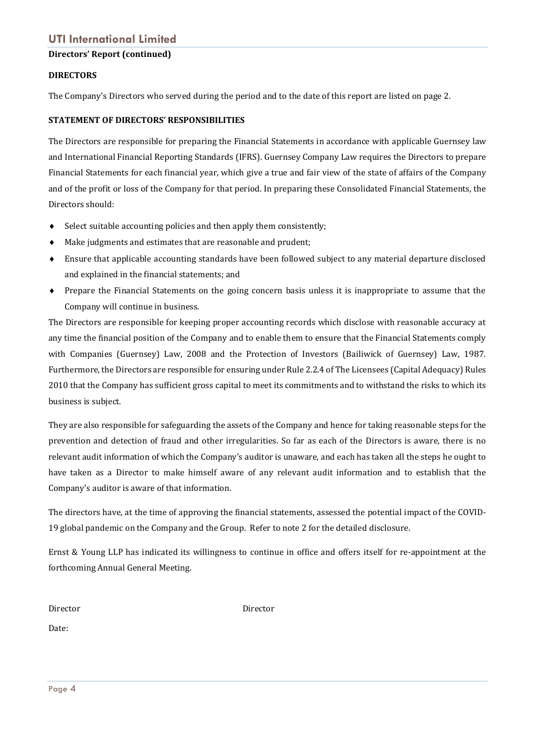#### **Directors' Report (continued)**

#### **DIRECTORS**

The Company's Directors who served during the period and to the date of this report are listed on page 2.

#### **STATEMENT OF DIRECTORS' RESPONSIBILITIES**

The Directors are responsible for preparing the Financial Statements in accordance with applicable Guernsey law and International Financial Reporting Standards (IFRS). Guernsey Company Law requires the Directors to prepare Financial Statements for each financial year, which give a true and fair view of the state of affairs of the Company and of the profit or loss of the Company for that period. In preparing these Consolidated Financial Statements, the Directors should:

- Select suitable accounting policies and then apply them consistently;
- Make judgments and estimates that are reasonable and prudent;
- Ensure that applicable accounting standards have been followed subject to any material departure disclosed and explained in the financial statements; and
- Prepare the Financial Statements on the going concern basis unless it is inappropriate to assume that the Company will continue in business.

The Directors are responsible for keeping proper accounting records which disclose with reasonable accuracy at any time the financial position of the Company and to enable them to ensure that the Financial Statements comply with Companies (Guernsey) Law, 2008 and the Protection of Investors (Bailiwick of Guernsey) Law, 1987. Furthermore, the Directors are responsible for ensuring under Rule 2.2.4 of The Licensees (Capital Adequacy) Rules 2010 that the Company has sufficient gross capital to meet its commitments and to withstand the risks to which its business is subject.

They are also responsible for safeguarding the assets of the Company and hence for taking reasonable steps for the prevention and detection of fraud and other irregularities. So far as each of the Directors is aware, there is no relevant audit information of which the Company's auditor is unaware, and each has taken all the steps he ought to have taken as a Director to make himself aware of any relevant audit information and to establish that the Company's auditor is aware of that information.

The directors have, at the time of approving the financial statements, assessed the potential impact of the COVID-19 global pandemic on the Company and the Group. Refer to note 2 for the detailed disclosure.

Ernst & Young LLP has indicated its willingness to continue in office and offers itself for re-appointment at the forthcoming Annual General Meeting.

Director Director

Date: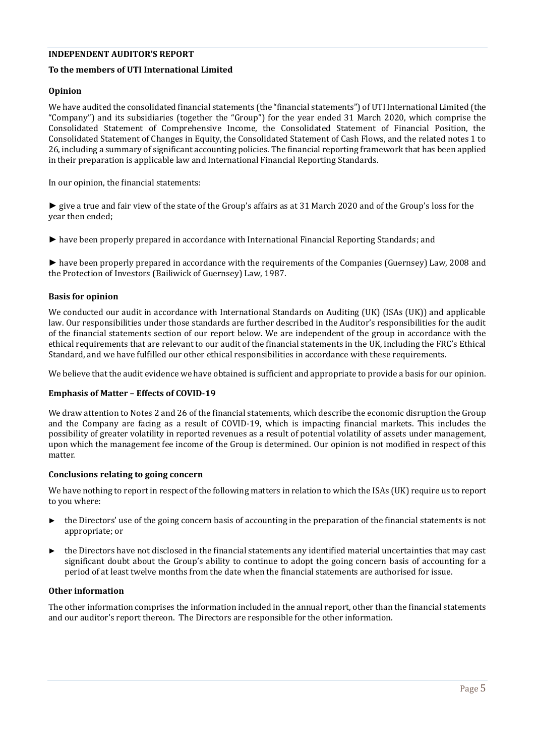#### **INDEPENDENT AUDITOR'S REPORT**

#### **To the members of UTI International Limited**

#### **Opinion**

We have audited the consolidated financial statements (the "financial statements") of UTI International Limited (the "Company") and its subsidiaries (together the "Group") for the year ended 31 March 2020, which comprise the Consolidated Statement of Comprehensive Income, the Consolidated Statement of Financial Position, the Consolidated Statement of Changes in Equity, the Consolidated Statement of Cash Flows, and the related notes 1 to 26, including a summary of significant accounting policies. The financial reporting framework that has been applied in their preparation is applicable law and International Financial Reporting Standards.

In our opinion, the financial statements:

► give a true and fair view of the state of the Group's affairs as at 31 March 2020 and of the Group's loss for the year then ended;

► have been properly prepared in accordance with International Financial Reporting Standards; and

► have been properly prepared in accordance with the requirements of the Companies (Guernsey) Law, 2008 and the Protection of Investors (Bailiwick of Guernsey) Law, 1987.

#### **Basis for opinion**

We conducted our audit in accordance with International Standards on Auditing (UK) (ISAs (UK)) and applicable law. Our responsibilities under those standards are further described in the Auditor's responsibilities for the audit of the financial statements section of our report below. We are independent of the group in accordance with the ethical requirements that are relevant to our audit of the financial statements in the UK, including the FRC's Ethical Standard, and we have fulfilled our other ethical responsibilities in accordance with these requirements.

We believe that the audit evidence we have obtained is sufficient and appropriate to provide a basis for our opinion.

#### **Emphasis of Matter – Effects of COVID-19**

We draw attention to Notes 2 and 26 of the financial statements, which describe the economic disruption the Group and the Company are facing as a result of COVID-19, which is impacting financial markets. This includes the possibility of greater volatility in reported revenues as a result of potential volatility of assets under management, upon which the management fee income of the Group is determined. Our opinion is not modified in respect of this matter.

#### **Conclusions relating to going concern**

We have nothing to report in respect of the following matters in relation to which the ISAs (UK) require us to report to you where:

- the Directors' use of the going concern basis of accounting in the preparation of the financial statements is not appropriate; or
- the Directors have not disclosed in the financial statements any identified material uncertainties that may cast significant doubt about the Group's ability to continue to adopt the going concern basis of accounting for a period of at least twelve months from the date when the financial statements are authorised for issue.

#### **Other information**

The other information comprises the information included in the annual report, other than the financial statements and our auditor's report thereon. The Directors are responsible for the other information.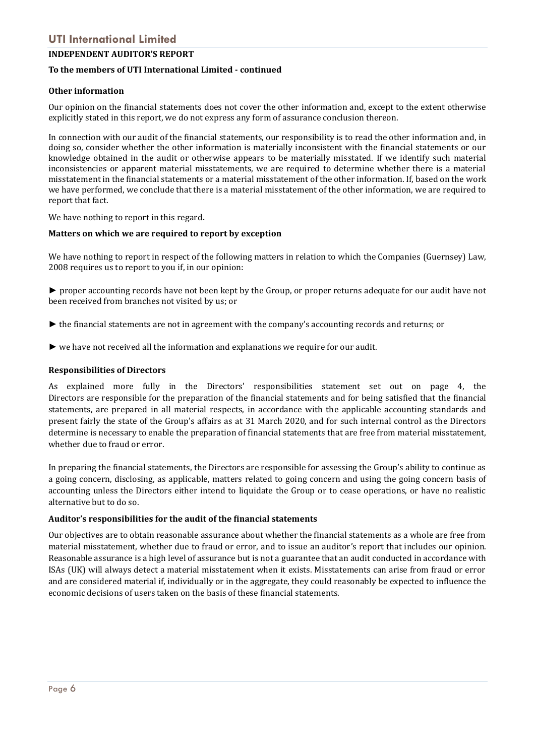# **INDEPENDENT AUDITOR'S REPORT**

#### **To the members of UTI International Limited - continued**

#### **Other information**

Our opinion on the financial statements does not cover the other information and, except to the extent otherwise explicitly stated in this report, we do not express any form of assurance conclusion thereon.

In connection with our audit of the financial statements, our responsibility is to read the other information and, in doing so, consider whether the other information is materially inconsistent with the financial statements or our knowledge obtained in the audit or otherwise appears to be materially misstated. If we identify such material inconsistencies or apparent material misstatements, we are required to determine whether there is a material misstatement in the financial statements or a material misstatement of the other information. If, based on the work we have performed, we conclude that there is a material misstatement of the other information, we are required to report that fact.

We have nothing to report in this regard.

#### **Matters on which we are required to report by exception**

We have nothing to report in respect of the following matters in relation to which the Companies (Guernsey) Law, 2008 requires us to report to you if, in our opinion:

► proper accounting records have not been kept by the Group, or proper returns adequate for our audit have not been received from branches not visited by us; or

- ► the financial statements are not in agreement with the company's accounting records and returns; or
- ► we have not received all the information and explanations we require for our audit.

#### **Responsibilities of Directors**

As explained more fully in the Directors' responsibilities statement set out on page 4, the Directors are responsible for the preparation of the financial statements and for being satisfied that the financial statements, are prepared in all material respects, in accordance with the applicable accounting standards and present fairly the state of the Group's affairs as at 31 March 2020, and for such internal control as the Directors determine is necessary to enable the preparation of financial statements that are free from material misstatement, whether due to fraud or error.

In preparing the financial statements, the Directors are responsible for assessing the Group's ability to continue as a going concern, disclosing, as applicable, matters related to going concern and using the going concern basis of accounting unless the Directors either intend to liquidate the Group or to cease operations, or have no realistic alternative but to do so.

#### **Auditor's responsibilities for the audit of the financial statements**

Our objectives are to obtain reasonable assurance about whether the financial statements as a whole are free from material misstatement, whether due to fraud or error, and to issue an auditor's report that includes our opinion. Reasonable assurance is a high level of assurance but is not a guarantee that an audit conducted in accordance with ISAs (UK) will always detect a material misstatement when it exists. Misstatements can arise from fraud or error and are considered material if, individually or in the aggregate, they could reasonably be expected to influence the economic decisions of users taken on the basis of these financial statements.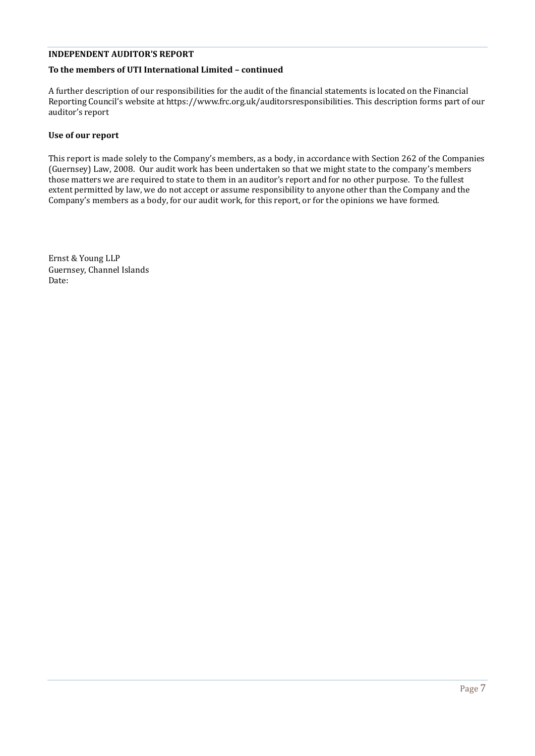#### **INDEPENDENT AUDITOR'S REPORT**

#### **To the members of UTI International Limited – continued**

A further description of our responsibilities for the audit of the financial statements is located on the Financial Reporting Council's website a[t https://www.frc.org.uk/auditorsresponsibilities.](https://www.frc.org.uk/auditorsresponsibilities) This description forms part of our auditor's report

#### **Use of our report**

This report is made solely to the Company's members, as a body, in accordance with Section 262 of the Companies (Guernsey) Law, 2008. Our audit work has been undertaken so that we might state to the company's members those matters we are required to state to them in an auditor's report and for no other purpose. To the fullest extent permitted by law, we do not accept or assume responsibility to anyone other than the Company and the Company's members as a body, for our audit work, for this report, or for the opinions we have formed.

Ernst & Young LLP Guernsey, Channel Islands Date: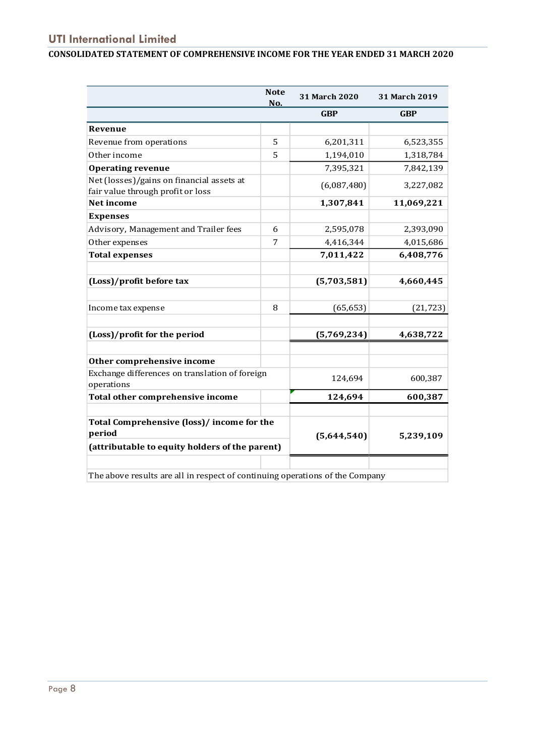#### **CONSOLIDATED STATEMENT OF COMPREHENSIVE INCOME FOR THE YEAR ENDED 31 MARCH 2020**

|                                                                                | <b>Note</b><br>No. | 31 March 2020 | <b>31 March 2019</b> |
|--------------------------------------------------------------------------------|--------------------|---------------|----------------------|
|                                                                                |                    | <b>GBP</b>    | GBP                  |
| Revenue                                                                        |                    |               |                      |
| Revenue from operations                                                        | 5                  | 6,201,311     | 6,523,355            |
| Other income                                                                   | 5                  | 1,194,010     | 1,318,784            |
| <b>Operating revenue</b>                                                       |                    | 7,395,321     | 7,842,139            |
| Net (losses)/gains on financial assets at<br>fair value through profit or loss |                    | (6,087,480)   | 3,227,082            |
| Net income                                                                     |                    | 1,307,841     | 11,069,221           |
| <b>Expenses</b>                                                                |                    |               |                      |
| Advisory, Management and Trailer fees                                          | 6                  | 2,595,078     | 2,393,090            |
| Other expenses                                                                 | 7                  | 4,416,344     | 4,015,686            |
| <b>Total expenses</b>                                                          |                    | 7,011,422     | 6,408,776            |
|                                                                                |                    |               |                      |
| (Loss)/profit before tax                                                       |                    | (5,703,581)   | 4,660,445            |
|                                                                                |                    |               |                      |
| Income tax expense                                                             | 8                  | (65, 653)     | (21, 723)            |
|                                                                                |                    |               |                      |
| (Loss)/profit for the period                                                   |                    | (5,769,234)   | 4,638,722            |
|                                                                                |                    |               |                      |
| Other comprehensive income                                                     |                    |               |                      |
| Exchange differences on translation of foreign<br>operations                   |                    | 124,694       | 600,387              |
| Total other comprehensive income                                               |                    | 124,694       | 600,387              |
|                                                                                |                    |               |                      |
| Total Comprehensive (loss)/ income for the<br>period                           |                    | (5,644,540)   | 5,239,109            |
| (attributable to equity holders of the parent)                                 |                    |               |                      |
|                                                                                |                    |               |                      |
| The above results are all in respect of continuing operations of the Company   |                    |               |                      |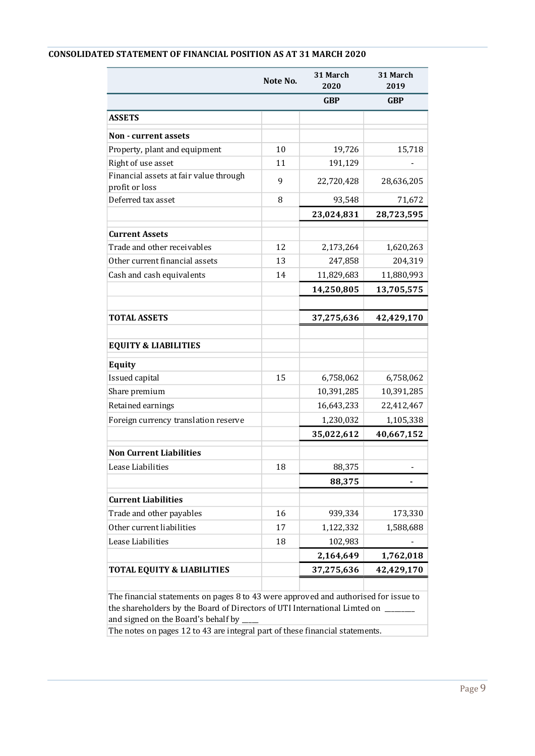|                                                                                                                                                                                                                                                                                           | Note No. | 31 March<br>2020 | 31 March<br>2019 |
|-------------------------------------------------------------------------------------------------------------------------------------------------------------------------------------------------------------------------------------------------------------------------------------------|----------|------------------|------------------|
|                                                                                                                                                                                                                                                                                           |          | <b>GBP</b>       | <b>GBP</b>       |
| <b>ASSETS</b>                                                                                                                                                                                                                                                                             |          |                  |                  |
| Non - current assets                                                                                                                                                                                                                                                                      |          |                  |                  |
| Property, plant and equipment                                                                                                                                                                                                                                                             | 10       | 19,726           | 15,718           |
| Right of use asset                                                                                                                                                                                                                                                                        | 11       | 191,129          |                  |
| Financial assets at fair value through<br>profit or loss                                                                                                                                                                                                                                  | 9        | 22,720,428       | 28,636,205       |
| Deferred tax asset                                                                                                                                                                                                                                                                        | 8        | 93,548           | 71,672           |
|                                                                                                                                                                                                                                                                                           |          | 23,024,831       | 28,723,595       |
| <b>Current Assets</b>                                                                                                                                                                                                                                                                     |          |                  |                  |
| Trade and other receivables                                                                                                                                                                                                                                                               | 12       | 2,173,264        | 1,620,263        |
| Other current financial assets                                                                                                                                                                                                                                                            | 13       | 247,858          | 204,319          |
| Cash and cash equivalents                                                                                                                                                                                                                                                                 | 14       | 11,829,683       | 11,880,993       |
|                                                                                                                                                                                                                                                                                           |          | 14,250,805       | 13,705,575       |
|                                                                                                                                                                                                                                                                                           |          |                  |                  |
| <b>TOTAL ASSETS</b>                                                                                                                                                                                                                                                                       |          | 37,275,636       | 42,429,170       |
| <b>EQUITY &amp; LIABILITIES</b>                                                                                                                                                                                                                                                           |          |                  |                  |
| <b>Equity</b>                                                                                                                                                                                                                                                                             |          |                  |                  |
| Issued capital                                                                                                                                                                                                                                                                            | 15       | 6,758,062        | 6,758,062        |
| Share premium                                                                                                                                                                                                                                                                             |          | 10,391,285       | 10,391,285       |
| Retained earnings                                                                                                                                                                                                                                                                         |          | 16,643,233       | 22,412,467       |
| Foreign currency translation reserve                                                                                                                                                                                                                                                      |          | 1,230,032        | 1,105,338        |
|                                                                                                                                                                                                                                                                                           |          | 35,022,612       | 40,667,152       |
| <b>Non Current Liabilities</b>                                                                                                                                                                                                                                                            |          |                  |                  |
| Lease Liabilities                                                                                                                                                                                                                                                                         | 18       | 88,375           |                  |
|                                                                                                                                                                                                                                                                                           |          | 88,375           |                  |
| <b>Current Liabilities</b>                                                                                                                                                                                                                                                                |          |                  |                  |
| Trade and other payables                                                                                                                                                                                                                                                                  | 16       | 939,334          | 173,330          |
| Other current liabilities                                                                                                                                                                                                                                                                 | 17       | 1,122,332        | 1,588,688        |
| Lease Liabilities                                                                                                                                                                                                                                                                         | 18       | 102,983          |                  |
|                                                                                                                                                                                                                                                                                           |          | 2,164,649        | 1,762,018        |
| TOTAL EQUITY & LIABILITIES                                                                                                                                                                                                                                                                |          | 37,275,636       | 42,429,170       |
| The financial statements on pages 8 to 43 were approved and authorised for issue to<br>the shareholders by the Board of Directors of UTI International Limted on<br>and signed on the Board's behalf by _<br>The notes on pages 12 to 43 are integral part of these financial statements. |          |                  |                  |

# **CONSOLIDATED STATEMENT OF FINANCIAL POSITION AS AT 31 MARCH 2020**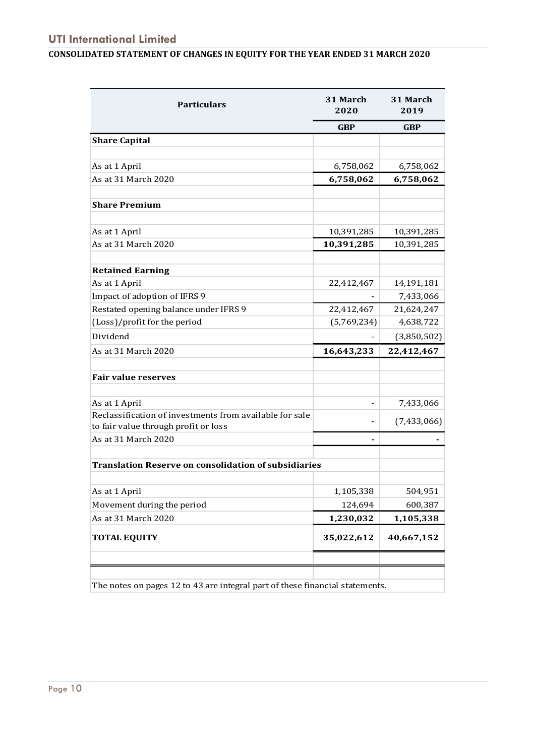# **CONSOLIDATED STATEMENT OF CHANGES IN EQUITY FOR THE YEAR ENDED 31 MARCH 2020**

| <b>Particulars</b>                                                           | 31 March<br>2020         | 31 March<br>2019        |
|------------------------------------------------------------------------------|--------------------------|-------------------------|
|                                                                              | <b>GBP</b>               | <b>GBP</b>              |
| <b>Share Capital</b>                                                         |                          |                         |
|                                                                              |                          |                         |
| As at 1 April                                                                | 6,758,062                | 6,758,062               |
| As at 31 March 2020                                                          | 6,758,062                | 6,758,062               |
|                                                                              |                          |                         |
| <b>Share Premium</b>                                                         |                          |                         |
|                                                                              |                          |                         |
| As at 1 April                                                                | 10,391,285               | 10,391,285              |
| As at 31 March 2020                                                          | 10,391,285               | 10,391,285              |
|                                                                              |                          |                         |
| <b>Retained Earning</b>                                                      |                          |                         |
| As at 1 April<br>Impact of adoption of IFRS 9                                | 22,412,467               | 14,191,181<br>7,433,066 |
| Restated opening balance under IFRS 9                                        | 22,412,467               | 21,624,247              |
| (Loss)/profit for the period                                                 | (5,769,234)              | 4,638,722               |
| Dividend                                                                     | $\overline{\phantom{a}}$ | (3,850,502)             |
|                                                                              |                          |                         |
| As at 31 March 2020                                                          | 16,643,233               | 22,412,467              |
| <b>Fair value reserves</b>                                                   |                          |                         |
|                                                                              |                          |                         |
| As at 1 April                                                                | $\overline{a}$           | 7,433,066               |
| Reclassification of investments from available for sale                      |                          |                         |
| to fair value through profit or loss                                         |                          | (7,433,066)             |
| As at 31 March 2020                                                          | $\blacksquare$           |                         |
|                                                                              |                          |                         |
| <b>Translation Reserve on consolidation of subsidiaries</b>                  |                          |                         |
|                                                                              |                          |                         |
| As at 1 April                                                                | 1,105,338                | 504,951                 |
| Movement during the period<br>As at 31 March 2020                            | 124,694                  | 600,387                 |
|                                                                              | 1,230,032                | 1,105,338               |
| <b>TOTAL EQUITY</b>                                                          | 35,022,612               | 40,667,152              |
|                                                                              |                          |                         |
|                                                                              |                          |                         |
| The notes on pages 12 to 43 are integral part of these financial statements. |                          |                         |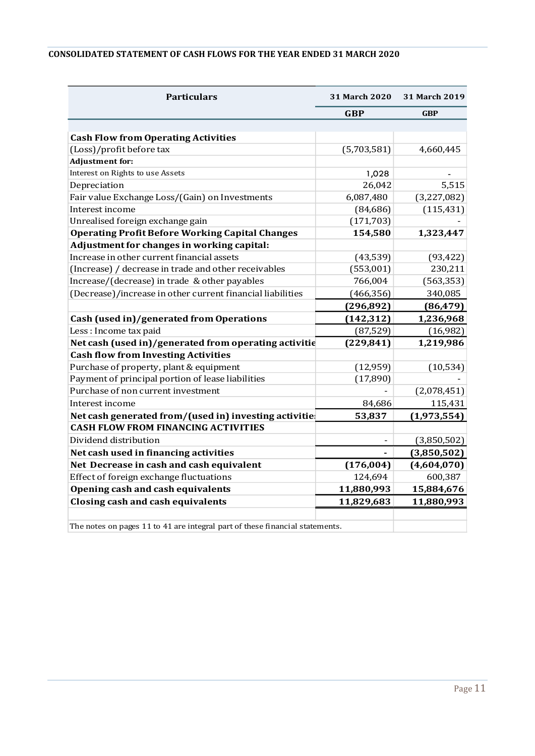# **CONSOLIDATED STATEMENT OF CASH FLOWS FOR THE YEAR ENDED 31 MARCH 2020**

| <b>Particulars</b>                                                           | 31 March 2020 | 31 March 2019 |
|------------------------------------------------------------------------------|---------------|---------------|
|                                                                              | <b>GBP</b>    | <b>GBP</b>    |
|                                                                              |               |               |
| <b>Cash Flow from Operating Activities</b>                                   |               |               |
| (Loss)/profit before tax                                                     | (5,703,581)   | 4,660,445     |
| <b>Adjustment for:</b>                                                       |               |               |
| Interest on Rights to use Assets                                             | 1,028         |               |
| Depreciation                                                                 | 26,042        | 5,515         |
| Fair value Exchange Loss/(Gain) on Investments                               | 6,087,480     | (3,227,082)   |
| Interest income                                                              | (84, 686)     | (115, 431)    |
| Unrealised foreign exchange gain                                             | (171, 703)    |               |
| <b>Operating Profit Before Working Capital Changes</b>                       | 154,580       | 1,323,447     |
| Adjustment for changes in working capital:                                   |               |               |
| Increase in other current financial assets                                   | (43, 539)     | (93, 422)     |
| (Increase) / decrease in trade and other receivables                         | (553,001)     | 230,211       |
| Increase/(decrease) in trade & other payables                                | 766,004       | (563, 353)    |
| (Decrease)/increase in other current financial liabilities                   | (466, 356)    | 340,085       |
|                                                                              | (296, 892)    | (86, 479)     |
| Cash (used in)/generated from Operations                                     | (142, 312)    | 1,236,968     |
| Less : Income tax paid                                                       | (87, 529)     | (16,982)      |
| Net cash (used in)/generated from operating activitie                        | (229, 841)    | 1,219,986     |
| <b>Cash flow from Investing Activities</b>                                   |               |               |
| Purchase of property, plant & equipment                                      | (12, 959)     | (10, 534)     |
| Payment of principal portion of lease liabilities                            | (17, 890)     |               |
| Purchase of non current investment                                           |               | (2,078,451)   |
| Interest income                                                              | 84,686        | 115,431       |
| Net cash generated from/(used in) investing activitie                        | 53,837        | (1,973,554)   |
| <b>CASH FLOW FROM FINANCING ACTIVITIES</b>                                   |               |               |
| Dividend distribution                                                        |               | (3,850,502)   |
| Net cash used in financing activities                                        |               | (3,850,502)   |
| Net Decrease in cash and cash equivalent                                     | (176,004)     | (4,604,070)   |
| Effect of foreign exchange fluctuations                                      | 124,694       | 600,387       |
| Opening cash and cash equivalents                                            | 11,880,993    | 15,884,676    |
| Closing cash and cash equivalents                                            | 11,829,683    | 11,880,993    |
| The notes on pages 11 to 41 are integral part of these financial statements. |               |               |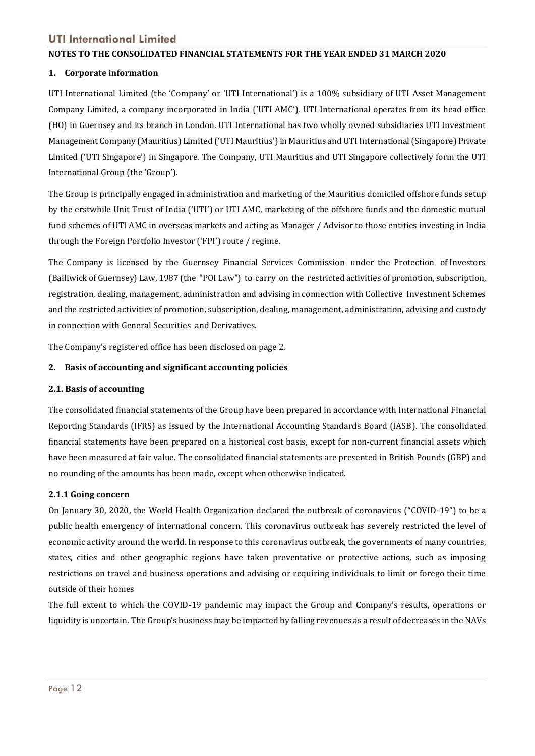#### **NOTES TO THE CONSOLIDATED FINANCIAL STATEMENTS FOR THE YEAR ENDED 31 MARCH 2020**

#### **1. Corporate information**

UTI International Limited (the 'Company' or 'UTI International') is a 100% subsidiary of UTI Asset Management Company Limited, a company incorporated in India ('UTI AMC'). UTI International operates from its head office (HO) in Guernsey and its branch in London. UTI International has two wholly owned subsidiaries UTI Investment Management Company (Mauritius) Limited ('UTI Mauritius') in Mauritius and UTI International (Singapore) Private Limited ('UTI Singapore') in Singapore. The Company, UTI Mauritius and UTI Singapore collectively form the UTI International Group (the 'Group').

The Group is principally engaged in administration and marketing of the Mauritius domiciled offshore funds setup by the erstwhile Unit Trust of India ('UTI') or UTI AMC, marketing of the offshore funds and the domestic mutual fund schemes of UTI AMC in overseas markets and acting as Manager / Advisor to those entities investing in India through the Foreign Portfolio Investor ('FPI') route / regime.

The Company is licensed by the Guernsey Financial Services Commission under the Protection of Investors (Bailiwick of Guernsey) Law, 1987 (the "POI Law") to carry on the restricted activities of promotion, subscription, registration, dealing, management, administration and advising in connection with Collective Investment Schemes and the restricted activities of promotion, subscription, dealing, management, administration, advising and custody in connection with General Securities and Derivatives.

The Company's registered office has been disclosed on page 2.

#### **2. Basis of accounting and significant accounting policies**

#### **2.1. Basis of accounting**

The consolidated financial statements of the Group have been prepared in accordance with International Financial Reporting Standards (IFRS) as issued by the International Accounting Standards Board (IASB). The consolidated financial statements have been prepared on a historical cost basis, except for non-current financial assets which have been measured at fair value. The consolidated financial statements are presented in British Pounds (GBP) and no rounding of the amounts has been made, except when otherwise indicated.

#### **2.1.1 Going concern**

On January 30, 2020, the World Health Organization declared the outbreak of coronavirus ("COVID-19") to be a public health emergency of international concern. This coronavirus outbreak has severely restricted the level of economic activity around the world. In response to this coronavirus outbreak, the governments of many countries, states, cities and other geographic regions have taken preventative or protective actions, such as imposing restrictions on travel and business operations and advising or requiring individuals to limit or forego their time outside of their homes

The full extent to which the COVID-19 pandemic may impact the Group and Company's results, operations or liquidity is uncertain. The Group's business may be impacted by falling revenues as a result of decreases in the NAVs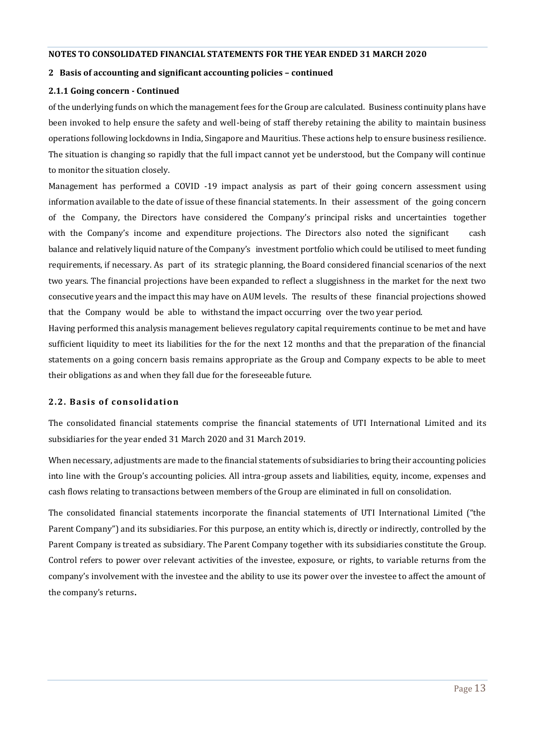#### **2 Basis of accounting and significant accounting policies – continued**

#### **2.1.1 Going concern - Continued**

of the underlying funds on which the management fees for the Group are calculated. Business continuity plans have been invoked to help ensure the safety and well-being of staff thereby retaining the ability to maintain business operations following lockdowns in India, Singapore and Mauritius. These actions help to ensure business resilience. The situation is changing so rapidly that the full impact cannot yet be understood, but the Company will continue to monitor the situation closely.

Management has performed a COVID -19 impact analysis as part of their going concern assessment using information available to the date of issue of these financial statements. In their assessment of the going concern of the Company, the Directors have considered the Company's principal risks and uncertainties together with the Company's income and expenditure projections. The Directors also noted the significant cash balance and relatively liquid nature of the Company's investment portfolio which could be utilised to meet funding requirements, if necessary. As part of its strategic planning, the Board considered financial scenarios of the next two years. The financial projections have been expanded to reflect a sluggishness in the market for the next two consecutive years and the impact this may have on AUM levels. The results of these financial projections showed that the Company would be able to withstand the impact occurring over the two year period.

Having performed this analysis management believes regulatory capital requirements continue to be met and have sufficient liquidity to meet its liabilities for the for the next 12 months and that the preparation of the financial statements on a going concern basis remains appropriate as the Group and Company expects to be able to meet their obligations as and when they fall due for the foreseeable future.

#### **2.2. Basis of consolid ation**

The consolidated financial statements comprise the financial statements of UTI International Limited and its subsidiaries for the year ended 31 March 2020 and 31 March 2019.

When necessary, adjustments are made to the financial statements of subsidiaries to bring their accounting policies into line with the Group's accounting policies. All intra-group assets and liabilities, equity, income, expenses and cash flows relating to transactions between members of the Group are eliminated in full on consolidation.

The consolidated financial statements incorporate the financial statements of UTI International Limited ("the Parent Company") and its subsidiaries. For this purpose, an entity which is, directly or indirectly, controlled by the Parent Company is treated as subsidiary. The Parent Company together with its subsidiaries constitute the Group. Control refers to power over relevant activities of the investee, exposure, or rights, to variable returns from the company's involvement with the investee and the ability to use its power over the investee to affect the amount of the company's returns.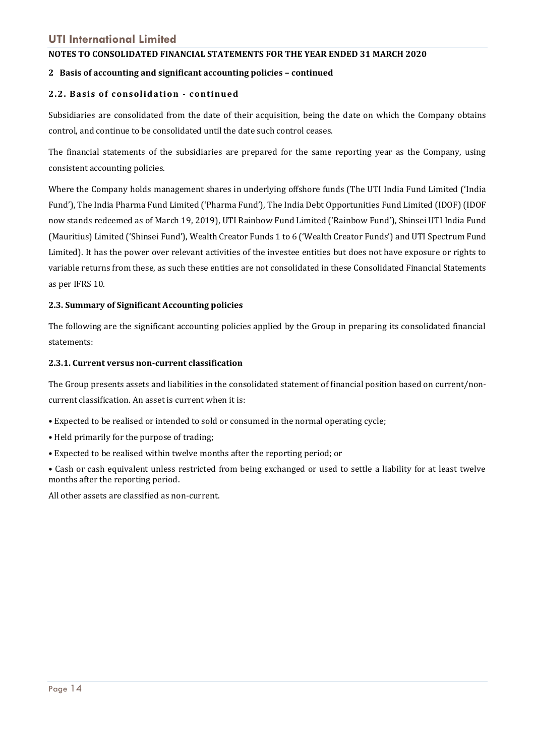#### **NOTES TO CONSOLIDATED FINANCIAL STATEMENTS FOR THE YEAR ENDED 31 MARCH 2020**

#### **2 Basis of accounting and significant accounting policies – continued**

#### **2.2. Basis of consolid ation - continu ed**

Subsidiaries are consolidated from the date of their acquisition, being the date on which the Company obtains control, and continue to be consolidated until the date such control ceases.

The financial statements of the subsidiaries are prepared for the same reporting year as the Company, using consistent accounting policies.

Where the Company holds management shares in underlying offshore funds (The UTI India Fund Limited ('India Fund'), The India Pharma Fund Limited ('Pharma Fund'), The India Debt Opportunities Fund Limited (IDOF) (IDOF now stands redeemed as of March 19, 2019), UTI Rainbow Fund Limited ('Rainbow Fund'), Shinsei UTI India Fund (Mauritius) Limited ('Shinsei Fund'), Wealth Creator Funds 1 to 6 ('Wealth Creator Funds') and UTI Spectrum Fund Limited). It has the power over relevant activities of the investee entities but does not have exposure or rights to variable returns from these, as such these entities are not consolidated in these Consolidated Financial Statements as per IFRS 10.

#### **2.3. Summary of Significant Accounting policies**

The following are the significant accounting policies applied by the Group in preparing its consolidated financial statements:

#### **2.3.1. Current versus non-current classification**

The Group presents assets and liabilities in the consolidated statement of financial position based on current/noncurrent classification. An asset is current when it is:

- Expected to be realised or intended to sold or consumed in the normal operating cycle;
- Held primarily for the purpose of trading;
- Expected to be realised within twelve months after the reporting period; or
- Cash or cash equivalent unless restricted from being exchanged or used to settle a liability for at least twelve months after the reporting period.

All other assets are classified as non-current.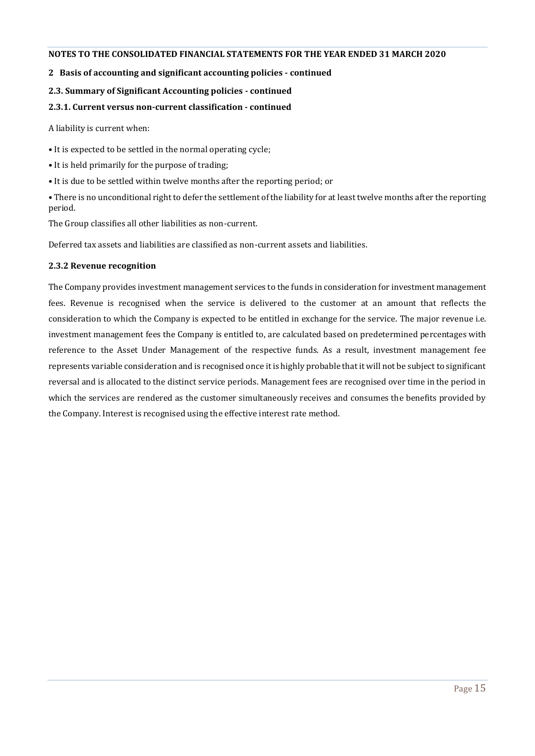#### **2 Basis of accounting and significant accounting policies - continued**

#### **2.3. Summary of Significant Accounting policies - continued**

#### **2.3.1. Current versus non-current classification - continued**

A liability is current when:

- It is expected to be settled in the normal operating cycle;
- It is held primarily for the purpose of trading;
- It is due to be settled within twelve months after the reporting period; or

• There is no unconditional right to defer the settlement of the liability for at least twelve months after the reporting period.

The Group classifies all other liabilities as non-current.

Deferred tax assets and liabilities are classified as non-current assets and liabilities.

#### **2.3.2 Revenue recognition**

The Company provides investment management services to the funds in consideration for investment management fees. Revenue is recognised when the service is delivered to the customer at an amount that reflects the consideration to which the Company is expected to be entitled in exchange for the service. The major revenue i.e. investment management fees the Company is entitled to, are calculated based on predetermined percentages with reference to the Asset Under Management of the respective funds. As a result, investment management fee represents variable consideration and is recognised once it is highly probable that it will not be subject to significant reversal and is allocated to the distinct service periods. Management fees are recognised over time in the period in which the services are rendered as the customer simultaneously receives and consumes the benefits provided by the Company. Interest is recognised using the effective interest rate method.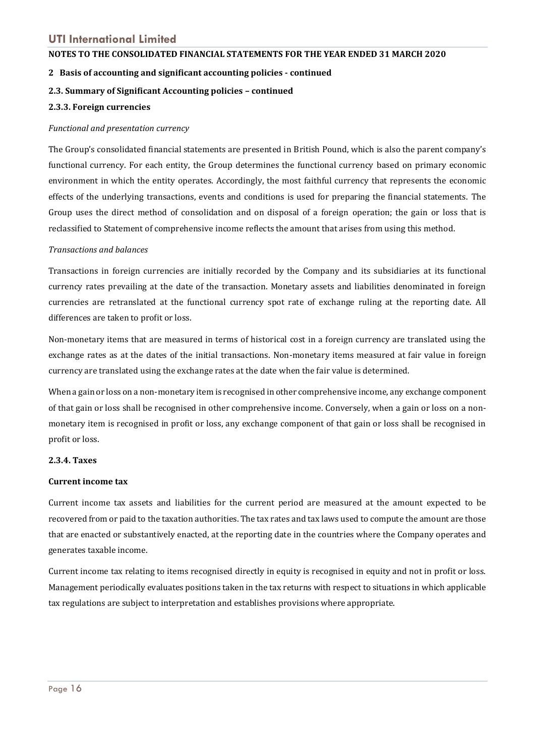#### **NOTES TO THE CONSOLIDATED FINANCIAL STATEMENTS FOR THE YEAR ENDED 31 MARCH 2020**

#### **2 Basis of accounting and significant accounting policies - continued**

#### **2.3. Summary of Significant Accounting policies – continued**

#### **2.3.3. Foreign currencies**

#### *Functional and presentation currency*

The Group's consolidated financial statements are presented in British Pound, which is also the parent company's functional currency. For each entity, the Group determines the functional currency based on primary economic environment in which the entity operates. Accordingly, the most faithful currency that represents the economic effects of the underlying transactions, events and conditions is used for preparing the financial statements. The Group uses the direct method of consolidation and on disposal of a foreign operation; the gain or loss that is reclassified to Statement of comprehensive income reflects the amount that arises from using this method.

#### *Transactions and balances*

Transactions in foreign currencies are initially recorded by the Company and its subsidiaries at its functional currency rates prevailing at the date of the transaction. Monetary assets and liabilities denominated in foreign currencies are retranslated at the functional currency spot rate of exchange ruling at the reporting date. All differences are taken to profit or loss.

Non-monetary items that are measured in terms of historical cost in a foreign currency are translated using the exchange rates as at the dates of the initial transactions. Non-monetary items measured at fair value in foreign currency are translated using the exchange rates at the date when the fair value is determined.

When a gain or loss on a non-monetary item is recognised in other comprehensive income, any exchange component of that gain or loss shall be recognised in other comprehensive income. Conversely, when a gain or loss on a nonmonetary item is recognised in profit or loss, any exchange component of that gain or loss shall be recognised in profit or loss.

#### **2.3.4. Taxes**

#### **Current income tax**

Current income tax assets and liabilities for the current period are measured at the amount expected to be recovered from or paid to the taxation authorities. The tax rates and tax laws used to compute the amount are those that are enacted or substantively enacted, at the reporting date in the countries where the Company operates and generates taxable income.

Current income tax relating to items recognised directly in equity is recognised in equity and not in profit or loss. Management periodically evaluates positions taken in the tax returns with respect to situations in which applicable tax regulations are subject to interpretation and establishes provisions where appropriate.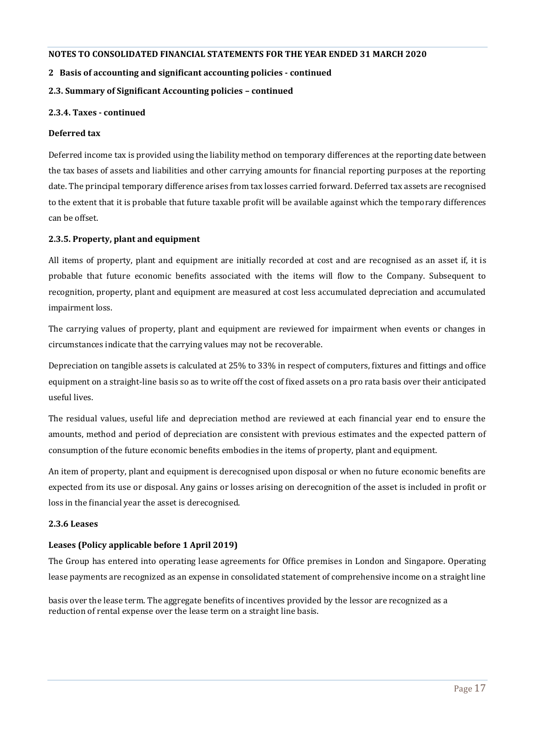#### **2 Basis of accounting and significant accounting policies - continued**

#### **2.3. Summary of Significant Accounting policies – continued**

#### **2.3.4. Taxes - continued**

#### **Deferred tax**

Deferred income tax is provided using the liability method on temporary differences at the reporting date between the tax bases of assets and liabilities and other carrying amounts for financial reporting purposes at the reporting date. The principal temporary difference arises from tax losses carried forward. Deferred tax assets are recognised to the extent that it is probable that future taxable profit will be available against which the temporary differences can be offset.

#### **2.3.5. Property, plant and equipment**

All items of property, plant and equipment are initially recorded at cost and are recognised as an asset if, it is probable that future economic benefits associated with the items will flow to the Company. Subsequent to recognition, property, plant and equipment are measured at cost less accumulated depreciation and accumulated impairment loss.

The carrying values of property, plant and equipment are reviewed for impairment when events or changes in circumstances indicate that the carrying values may not be recoverable.

Depreciation on tangible assets is calculated at 25% to 33% in respect of computers, fixtures and fittings and office equipment on a straight-line basis so as to write off the cost of fixed assets on a pro rata basis over their anticipated useful lives.

The residual values, useful life and depreciation method are reviewed at each financial year end to ensure the amounts, method and period of depreciation are consistent with previous estimates and the expected pattern of consumption of the future economic benefits embodies in the items of property, plant and equipment.

An item of property, plant and equipment is derecognised upon disposal or when no future economic benefits are expected from its use or disposal. Any gains or losses arising on derecognition of the asset is included in profit or loss in the financial year the asset is derecognised.

#### **2.3.6 Leases**

#### **Leases (Policy applicable before 1 April 2019)**

The Group has entered into operating lease agreements for Office premises in London and Singapore. Operating lease payments are recognized as an expense in consolidated statement of comprehensive income on a straight line

basis over the lease term. The aggregate benefits of incentives provided by the lessor are recognized as a reduction of rental expense over the lease term on a straight line basis.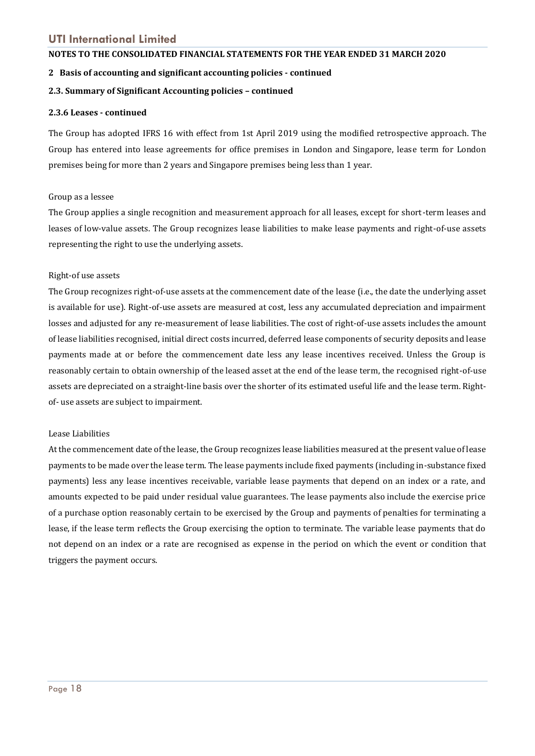#### **NOTES TO THE CONSOLIDATED FINANCIAL STATEMENTS FOR THE YEAR ENDED 31 MARCH 2020**

#### **2 Basis of accounting and significant accounting policies - continued**

#### **2.3. Summary of Significant Accounting policies – continued**

#### **2.3.6 Leases - continued**

The Group has adopted IFRS 16 with effect from 1st April 2019 using the modified retrospective approach. The Group has entered into lease agreements for office premises in London and Singapore, lease term for London premises being for more than 2 years and Singapore premises being less than 1 year.

#### Group as a lessee

The Group applies a single recognition and measurement approach for all leases, except for short-term leases and leases of low-value assets. The Group recognizes lease liabilities to make lease payments and right-of-use assets representing the right to use the underlying assets.

#### Right-of use assets

The Group recognizes right-of-use assets at the commencement date of the lease (i.e., the date the underlying asset is available for use). Right-of-use assets are measured at cost, less any accumulated depreciation and impairment losses and adjusted for any re-measurement of lease liabilities. The cost of right-of-use assets includes the amount of lease liabilities recognised, initial direct costs incurred, deferred lease components of security deposits and lease payments made at or before the commencement date less any lease incentives received. Unless the Group is reasonably certain to obtain ownership of the leased asset at the end of the lease term, the recognised right-of-use assets are depreciated on a straight-line basis over the shorter of its estimated useful life and the lease term. Rightof- use assets are subject to impairment.

#### Lease Liabilities

At the commencement date of the lease, the Group recognizes lease liabilities measured at the present value of lease payments to be made over the lease term. The lease payments include fixed payments (including in-substance fixed payments) less any lease incentives receivable, variable lease payments that depend on an index or a rate, and amounts expected to be paid under residual value guarantees. The lease payments also include the exercise price of a purchase option reasonably certain to be exercised by the Group and payments of penalties for terminating a lease, if the lease term reflects the Group exercising the option to terminate. The variable lease payments that do not depend on an index or a rate are recognised as expense in the period on which the event or condition that triggers the payment occurs.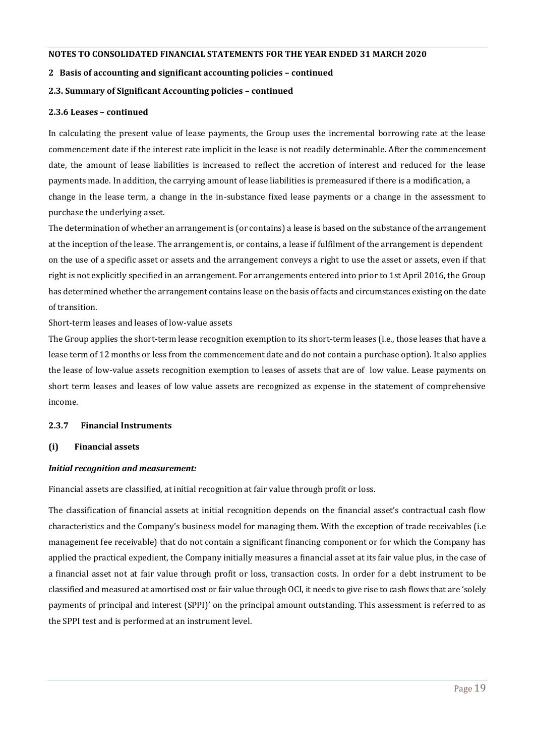#### **2 Basis of accounting and significant accounting policies – continued**

#### **2.3. Summary of Significant Accounting policies – continued**

#### **2.3.6 Leases – continued**

In calculating the present value of lease payments, the Group uses the incremental borrowing rate at the lease commencement date if the interest rate implicit in the lease is not readily determinable. After the commencement date, the amount of lease liabilities is increased to reflect the accretion of interest and reduced for the lease payments made. In addition, the carrying amount of lease liabilities is premeasured if there is a modification, a change in the lease term, a change in the in-substance fixed lease payments or a change in the assessment to purchase the underlying asset.

The determination of whether an arrangement is (or contains) a lease is based on the substance of the arrangement at the inception of the lease. The arrangement is, or contains, a lease if fulfilment of the arrangement is dependent on the use of a specific asset or assets and the arrangement conveys a right to use the asset or assets, even if that right is not explicitly specified in an arrangement. For arrangements entered into prior to 1st April 2016, the Group has determined whether the arrangement contains lease on the basis of facts and circumstances existing on the date of transition.

Short-term leases and leases of low-value assets

The Group applies the short-term lease recognition exemption to its short-term leases (i.e., those leases that have a lease term of 12 months or less from the commencement date and do not contain a purchase option). It also applies the lease of low-value assets recognition exemption to leases of assets that are of low value. Lease payments on short term leases and leases of low value assets are recognized as expense in the statement of comprehensive income.

#### **2.3.7 Financial Instruments**

#### **(i) Financial assets**

#### *Initial recognition and measurement:*

Financial assets are classified, at initial recognition at fair value through profit or loss.

The classification of financial assets at initial recognition depends on the financial asset's contractual cash flow characteristics and the Company's business model for managing them. With the exception of trade receivables (i.e management fee receivable) that do not contain a significant financing component or for which the Company has applied the practical expedient, the Company initially measures a financial asset at its fair value plus, in the case of a financial asset not at fair value through profit or loss, transaction costs. In order for a debt instrument to be classified and measured at amortised cost or fair value through OCI, it needs to give rise to cash flows that are 'solely payments of principal and interest (SPPI)' on the principal amount outstanding. This assessment is referred to as the SPPI test and is performed at an instrument level.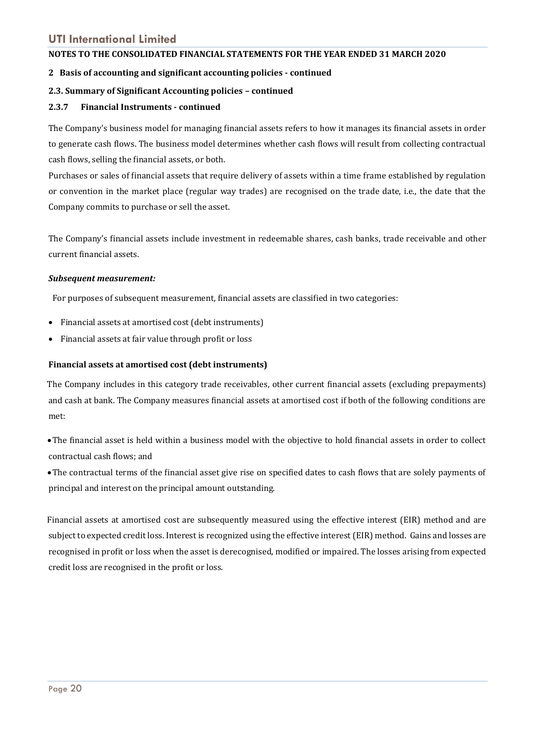#### **NOTES TO THE CONSOLIDATED FINANCIAL STATEMENTS FOR THE YEAR ENDED 31 MARCH 2020**

#### **2 Basis of accounting and significant accounting policies - continued**

#### **2.3. Summary of Significant Accounting policies – continued**

#### **2.3.7 Financial Instruments - continued**

The Company's business model for managing financial assets refers to how it manages its financial assets in order to generate cash flows. The business model determines whether cash flows will result from collecting contractual cash flows, selling the financial assets, or both.

Purchases or sales of financial assets that require delivery of assets within a time frame established by regulation or convention in the market place (regular way trades) are recognised on the trade date, i.e., the date that the Company commits to purchase or sell the asset.

The Company's financial assets include investment in redeemable shares, cash banks, trade receivable and other current financial assets.

#### *Subsequent measurement:*

For purposes of subsequent measurement, financial assets are classified in two categories:

- Financial assets at amortised cost (debt instruments)
- Financial assets at fair value through profit or loss

#### **Financial assets at amortised cost (debt instruments)**

The Company includes in this category trade receivables, other current financial assets (excluding prepayments) and cash at bank. The Company measures financial assets at amortised cost if both of the following conditions are met:

•The financial asset is held within a business model with the objective to hold financial assets in order to collect contractual cash flows; and

•The contractual terms of the financial asset give rise on specified dates to cash flows that are solely payments of principal and interest on the principal amount outstanding.

Financial assets at amortised cost are subsequently measured using the effective interest (EIR) method and are subject to expected credit loss. Interest is recognized using the effective interest (EIR) method. Gains and losses are recognised in profit or loss when the asset is derecognised, modified or impaired. The losses arising from expected credit loss are recognised in the profit or loss.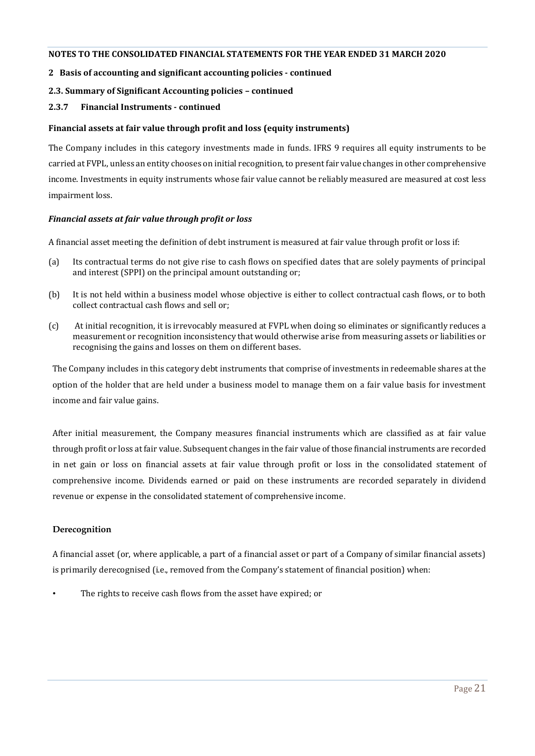#### **2 Basis of accounting and significant accounting policies - continued**

#### **2.3. Summary of Significant Accounting policies – continued**

#### **2.3.7 Financial Instruments - continued**

#### **Financial assets at fair value through profit and loss (equity instruments)**

The Company includes in this category investments made in funds. IFRS 9 requires all equity instruments to be carried at FVPL, unless an entity chooses on initial recognition, to present fair value changes in other comprehensive income. Investments in equity instruments whose fair value cannot be reliably measured are measured at cost less impairment loss.

#### *Financial assets at fair value through profit or loss*

A financial asset meeting the definition of debt instrument is measured at fair value through profit or loss if:

- (a) Its contractual terms do not give rise to cash flows on specified dates that are solely payments of principal and interest (SPPI) on the principal amount outstanding or;
- (b) It is not held within a business model whose objective is either to collect contractual cash flows, or to both collect contractual cash flows and sell or;
- (c) At initial recognition, it is irrevocably measured at FVPL when doing so eliminates or significantly reduces a measurement or recognition inconsistency that would otherwise arise from measuring assets or liabilities or recognising the gains and losses on them on different bases.

The Company includes in this category debt instruments that comprise of investments in redeemable shares at the option of the holder that are held under a business model to manage them on a fair value basis for investment income and fair value gains.

After initial measurement, the Company measures financial instruments which are classified as at fair value through profit or loss at fair value. Subsequent changes in the fair value of those financial instruments are recorded in net gain or loss on financial assets at fair value through profit or loss in the consolidated statement of comprehensive income. Dividends earned or paid on these instruments are recorded separately in dividend revenue or expense in the consolidated statement of comprehensive income.

#### **Derecognition**

A financial asset (or, where applicable, a part of a financial asset or part of a Company of similar financial assets) is primarily derecognised (i.e., removed from the Company's statement of financial position) when:

The rights to receive cash flows from the asset have expired; or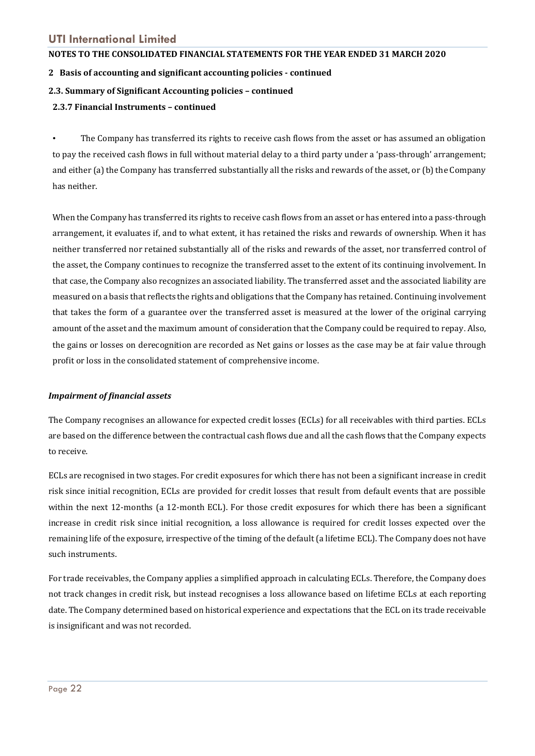#### **NOTES TO THE CONSOLIDATED FINANCIAL STATEMENTS FOR THE YEAR ENDED 31 MARCH 2020**

- **2 Basis of accounting and significant accounting policies - continued**
- **2.3. Summary of Significant Accounting policies – continued**

## **2.3.7 Financial Instruments – continued**

• The Company has transferred its rights to receive cash flows from the asset or has assumed an obligation to pay the received cash flows in full without material delay to a third party under a 'pass-through' arrangement; and either (a) the Company has transferred substantially all the risks and rewards of the asset, or (b) the Company has neither.

When the Company has transferred its rights to receive cash flows from an asset or has entered into a pass-through arrangement, it evaluates if, and to what extent, it has retained the risks and rewards of ownership. When it has neither transferred nor retained substantially all of the risks and rewards of the asset, nor transferred control of the asset, the Company continues to recognize the transferred asset to the extent of its continuing involvement. In that case, the Company also recognizes an associated liability. The transferred asset and the associated liability are measured on a basis that reflects the rights and obligations that the Company has retained. Continuing involvement that takes the form of a guarantee over the transferred asset is measured at the lower of the original carrying amount of the asset and the maximum amount of consideration that the Company could be required to repay. Also, the gains or losses on derecognition are recorded as Net gains or losses as the case may be at fair value through profit or loss in the consolidated statement of comprehensive income.

## *Impairment of financial assets*

The Company recognises an allowance for expected credit losses (ECLs) for all receivables with third parties. ECLs are based on the difference between the contractual cash flows due and all the cash flows that the Company expects to receive.

ECLs are recognised in two stages. For credit exposures for which there has not been a significant increase in credit risk since initial recognition, ECLs are provided for credit losses that result from default events that are possible within the next 12-months (a 12-month ECL). For those credit exposures for which there has been a significant increase in credit risk since initial recognition, a loss allowance is required for credit losses expected over the remaining life of the exposure, irrespective of the timing of the default (a lifetime ECL). The Company does not have such instruments.

For trade receivables, the Company applies a simplified approach in calculating ECLs. Therefore, the Company does not track changes in credit risk, but instead recognises a loss allowance based on lifetime ECLs at each reporting date. The Company determined based on historical experience and expectations that the ECL on its trade receivable is insignificant and was not recorded.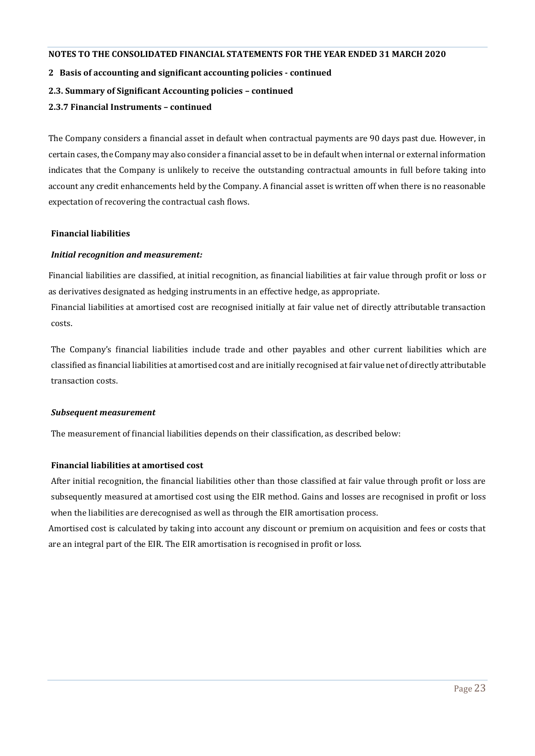#### **2 Basis of accounting and significant accounting policies - continued**

#### **2.3. Summary of Significant Accounting policies – continued**

#### **2.3.7 Financial Instruments – continued**

The Company considers a financial asset in default when contractual payments are 90 days past due. However, in certain cases, the Company may also consider a financial asset to be in default when internal or external information indicates that the Company is unlikely to receive the outstanding contractual amounts in full before taking into account any credit enhancements held by the Company. A financial asset is written off when there is no reasonable expectation of recovering the contractual cash flows.

#### **Financial liabilities**

#### *Initial recognition and measurement:*

Financial liabilities are classified, at initial recognition, as financial liabilities at fair value through profit or loss or as derivatives designated as hedging instruments in an effective hedge, as appropriate.

Financial liabilities at amortised cost are recognised initially at fair value net of directly attributable transaction costs.

The Company's financial liabilities include trade and other payables and other current liabilities which are classified as financial liabilities at amortised cost and are initially recognised at fair value net of directly attributable transaction costs.

#### *Subsequent measurement*

The measurement of financial liabilities depends on their classification, as described below:

#### **Financial liabilities at amortised cost**

After initial recognition, the financial liabilities other than those classified at fair value through profit or loss are subsequently measured at amortised cost using the EIR method. Gains and losses are recognised in profit or loss when the liabilities are derecognised as well as through the EIR amortisation process.

Amortised cost is calculated by taking into account any discount or premium on acquisition and fees or costs that are an integral part of the EIR. The EIR amortisation is recognised in profit or loss.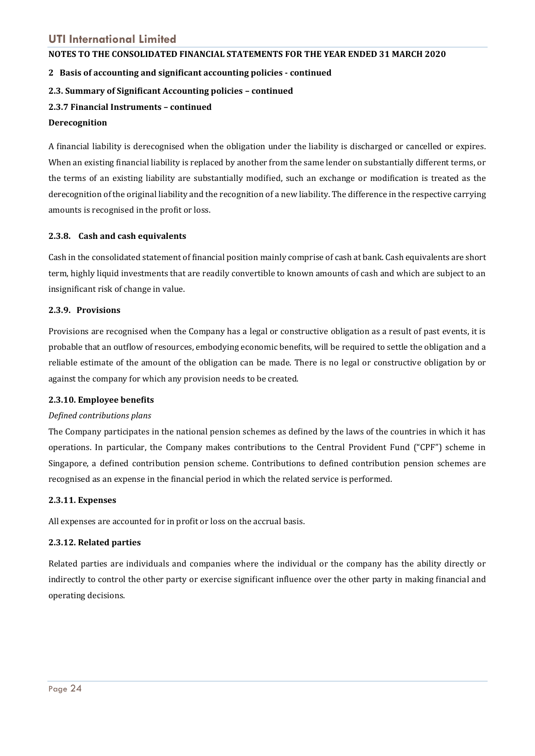- **2 Basis of accounting and significant accounting policies - continued**
- **2.3. Summary of Significant Accounting policies – continued**
- **2.3.7 Financial Instruments – continued**

#### **Derecognition**

A financial liability is derecognised when the obligation under the liability is discharged or cancelled or expires. When an existing financial liability is replaced by another from the same lender on substantially different terms, or the terms of an existing liability are substantially modified, such an exchange or modification is treated as the derecognition of the original liability and the recognition of a new liability. The difference in the respective carrying amounts is recognised in the profit or loss.

#### **2.3.8. Cash and cash equivalents**

Cash in the consolidated statement of financial position mainly comprise of cash at bank. Cash equivalents are short term, highly liquid investments that are readily convertible to known amounts of cash and which are subject to an insignificant risk of change in value.

#### **2.3.9. Provisions**

Provisions are recognised when the Company has a legal or constructive obligation as a result of past events, it is probable that an outflow of resources, embodying economic benefits, will be required to settle the obligation and a reliable estimate of the amount of the obligation can be made. There is no legal or constructive obligation by or against the company for which any provision needs to be created.

#### **2.3.10. Employee benefits**

#### *Defined contributions plans*

The Company participates in the national pension schemes as defined by the laws of the countries in which it has operations. In particular, the Company makes contributions to the Central Provident Fund ("CPF") scheme in Singapore, a defined contribution pension scheme. Contributions to defined contribution pension schemes are recognised as an expense in the financial period in which the related service is performed.

#### **2.3.11. Expenses**

All expenses are accounted for in profit or loss on the accrual basis.

#### **2.3.12. Related parties**

Related parties are individuals and companies where the individual or the company has the ability directly or indirectly to control the other party or exercise significant influence over the other party in making financial and operating decisions.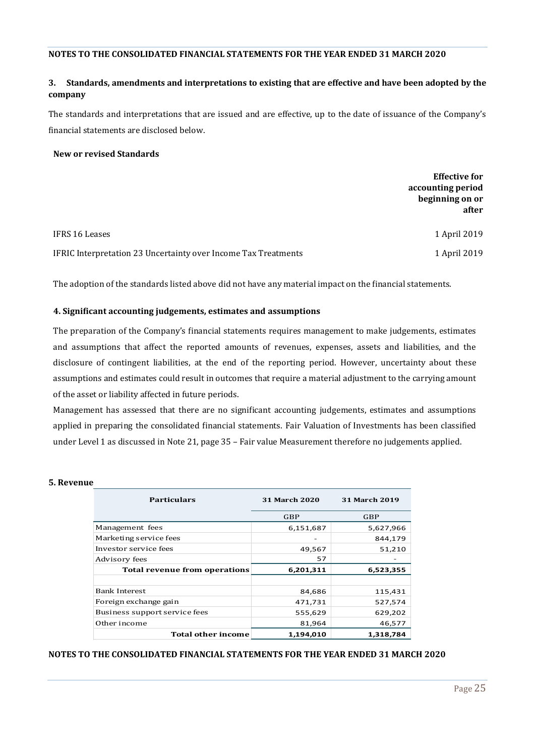#### **3. Standards, amendments and interpretations to existing that are effective and have been adopted by the company**

The standards and interpretations that are issued and are effective, up to the date of issuance of the Company's financial statements are disclosed below.

#### **New or revised Standards**

|                                                                | <b>Effective for</b><br>accounting period<br>beginning on or<br>after |
|----------------------------------------------------------------|-----------------------------------------------------------------------|
| IFRS 16 Leases                                                 | 1 April 2019                                                          |
| IFRIC Interpretation 23 Uncertainty over Income Tax Treatments | 1 April 2019                                                          |

The adoption of the standards listed above did not have any material impact on the financial statements.

#### **4. Significant accounting judgements, estimates and assumptions**

The preparation of the Company's financial statements requires management to make judgements, estimates and assumptions that affect the reported amounts of revenues, expenses, assets and liabilities, and the disclosure of contingent liabilities, at the end of the reporting period. However, uncertainty about these assumptions and estimates could result in outcomes that require a material adjustment to the carrying amount of the asset or liability affected in future periods.

Management has assessed that there are no significant accounting judgements, estimates and assumptions applied in preparing the consolidated financial statements. Fair Valuation of Investments has been classified under Level 1 as discussed in Note 21, page 35 – Fair value Measurement therefore no judgements applied.

| <b>Particulars</b>                   | <b>31 March 2020</b> | <b>31 March 2019</b> |
|--------------------------------------|----------------------|----------------------|
|                                      | GBP                  | GBP                  |
| Management fees                      | 6,151,687            | 5,627,966            |
| Marketing service fees               |                      | 844,179              |
| Investor service fees                | 49,567               | 51,210               |
| Advisory fees                        | 57                   |                      |
|                                      |                      |                      |
| <b>Total revenue from operations</b> | 6,201,311            | 6,523,355            |
|                                      |                      |                      |
| <b>Bank Interest</b>                 | 84,686               | 115,431              |
| Foreign exchange gain                | 471,731              | 527,574              |
| Business support service fees        | 555,629              | 629,202              |
| Other income                         | 81,964               | 46,577               |

#### **5. Revenue**

#### **NOTES TO THE CONSOLIDATED FINANCIAL STATEMENTS FOR THE YEAR ENDED 31 MARCH 2020**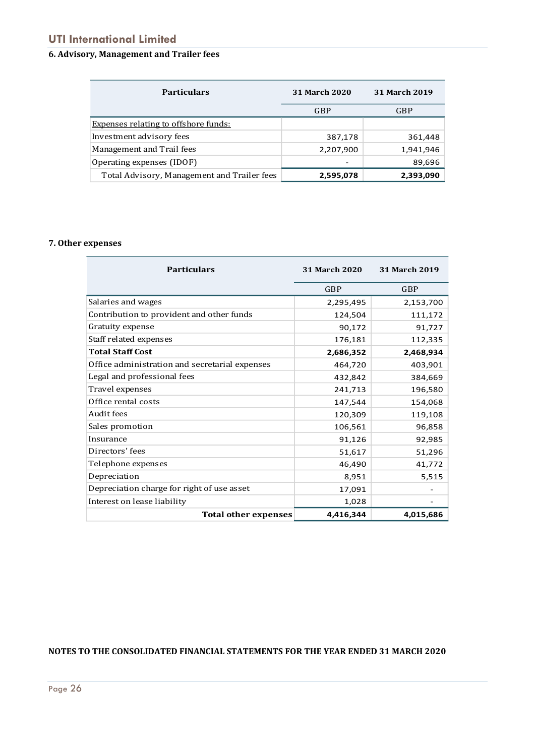# **6. Advisory, Management and Trailer fees**

| <b>Particulars</b>                          | <b>31 March 2020</b> | 31 March 2019 |
|---------------------------------------------|----------------------|---------------|
|                                             | <b>GBP</b>           | <b>GBP</b>    |
| Expenses relating to offshore funds:        |                      |               |
| Investment advisory fees                    | 387,178              | 361,448       |
| Management and Trail fees                   | 2,207,900            | 1,941,946     |
| Operating expenses (IDOF)                   |                      | 89,696        |
| Total Advisory, Management and Trailer fees | 2,595,078            | 2,393,090     |

## **7. Other expenses**

| <b>Particulars</b>                             | 31 March 2020 | 31 March 2019 |
|------------------------------------------------|---------------|---------------|
|                                                | GBP           | <b>GBP</b>    |
| Salaries and wages                             | 2,295,495     | 2,153,700     |
| Contribution to provident and other funds      | 124,504       | 111,172       |
| Gratuity expense                               | 90,172        | 91,727        |
| Staff related expenses                         | 176,181       | 112,335       |
| <b>Total Staff Cost</b>                        | 2,686,352     | 2,468,934     |
| Office administration and secretarial expenses | 464,720       | 403,901       |
| Legal and professional fees                    | 432,842       | 384,669       |
| Travel expenses                                | 241,713       | 196,580       |
| Office rental costs                            | 147,544       | 154,068       |
| Audit fees                                     | 120,309       | 119,108       |
| Sales promotion                                | 106,561       | 96,858        |
| Insurance                                      | 91,126        | 92,985        |
| Directors' fees                                | 51,617        | 51,296        |
| Telephone expenses                             | 46,490        | 41,772        |
| Depreciation                                   | 8,951         | 5,515         |
| Depreciation charge for right of use asset     | 17,091        |               |
| Interest on lease liability                    | 1,028         |               |
| <b>Total other expenses</b>                    | 4,416,344     | 4,015,686     |

#### **NOTES TO THE CONSOLIDATED FINANCIAL STATEMENTS FOR THE YEAR ENDED 31 MARCH 2020**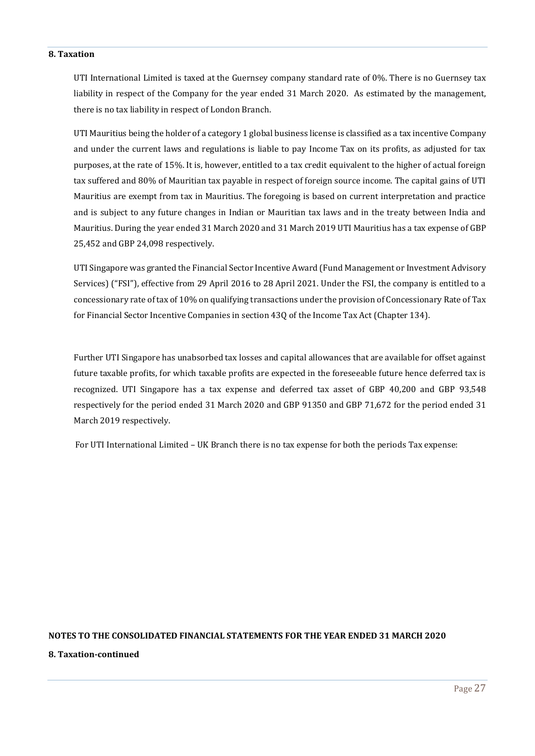#### **8. Taxation**

UTI International Limited is taxed at the Guernsey company standard rate of 0%. There is no Guernsey tax liability in respect of the Company for the year ended 31 March 2020. As estimated by the management, there is no tax liability in respect of London Branch.

UTI Mauritius being the holder of a category 1 global business license is classified as a tax incentive Company and under the current laws and regulations is liable to pay Income Tax on its profits, as adjusted for tax purposes, at the rate of 15%. It is, however, entitled to a tax credit equivalent to the higher of actual foreign tax suffered and 80% of Mauritian tax payable in respect of foreign source income. The capital gains of UTI Mauritius are exempt from tax in Mauritius. The foregoing is based on current interpretation and practice and is subject to any future changes in Indian or Mauritian tax laws and in the treaty between India and Mauritius. During the year ended 31 March 2020 and 31 March 2019 UTI Mauritius has a tax expense of GBP 25,452 and GBP 24,098 respectively.

UTI Singapore was granted the Financial Sector Incentive Award (Fund Management or Investment Advisory Services) ("FSI"), effective from 29 April 2016 to 28 April 2021. Under the FSI, the company is entitled to a concessionary rate of tax of 10% on qualifying transactions under the provision of Concessionary Rate of Tax for Financial Sector Incentive Companies in section 43Q of the Income Tax Act (Chapter 134).

Further UTI Singapore has unabsorbed tax losses and capital allowances that are available for offset against future taxable profits, for which taxable profits are expected in the foreseeable future hence deferred tax is recognized. UTI Singapore has a tax expense and deferred tax asset of GBP 40,200 and GBP 93,548 respectively for the period ended 31 March 2020 and GBP 91350 and GBP 71,672 for the period ended 31 March 2019 respectively.

For UTI International Limited – UK Branch there is no tax expense for both the periods Tax expense:

# **NOTES TO THE CONSOLIDATED FINANCIAL STATEMENTS FOR THE YEAR ENDED 31 MARCH 2020**

# **8. Taxation-continued**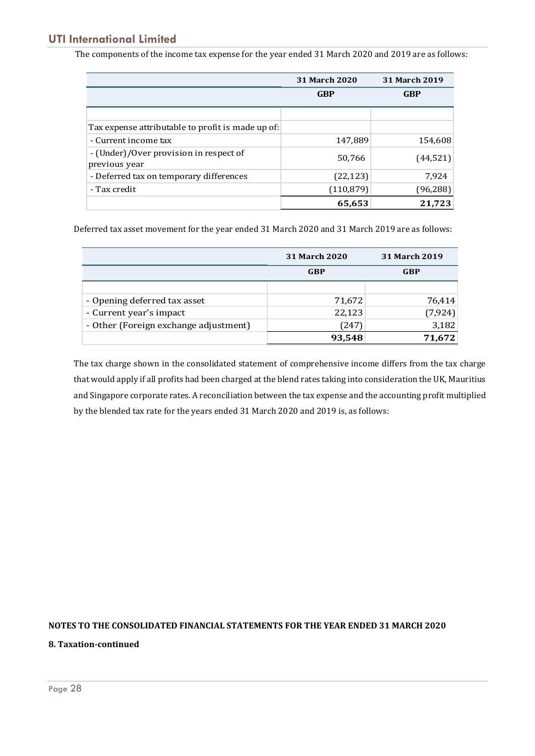The components of the income tax expense for the year ended 31 March 2020 and 2019 are as follows:

|                                                         | <b>31 March 2020</b> | <b>31 March 2019</b> |
|---------------------------------------------------------|----------------------|----------------------|
|                                                         | <b>GBP</b>           | <b>GBP</b>           |
|                                                         |                      |                      |
| Tax expense attributable to profit is made up of:       |                      |                      |
| - Current income tax                                    | 147,889              | 154,608              |
| - (Under)/Over provision in respect of<br>previous year | 50,766               | (44, 521)            |
| - Deferred tax on temporary differences                 | (22, 123)            | 7.924                |
| - Tax credit                                            | (110, 879)           | (96, 288)            |
|                                                         | 65,653               | 21,723               |

Deferred tax asset movement for the year ended 31 March 2020 and 31 March 2019 are as follows:

|                                       | <b>31 March 2020</b> | <b>31 March 2019</b> |
|---------------------------------------|----------------------|----------------------|
|                                       | <b>GBP</b>           | <b>GBP</b>           |
|                                       |                      |                      |
| - Opening deferred tax asset          | 71,672               | 76,414               |
| - Current year's impact               | 22,123               | (7, 924)             |
| - Other (Foreign exchange adjustment) | (247)                | 3,182                |
|                                       | 93,548               | 71,672               |

The tax charge shown in the consolidated statement of comprehensive income differs from the tax charge that would apply if all profits had been charged at the blend rates taking into consideration the UK, Mauritius and Singapore corporate rates. A reconciliation between the tax expense and the accounting profit multiplied by the blended tax rate for the years ended 31 March 2020 and 2019 is, as follows:

## **NOTES TO THE CONSOLIDATED FINANCIAL STATEMENTS FOR THE YEAR ENDED 31 MARCH 2020**

#### **8. Taxation-continued**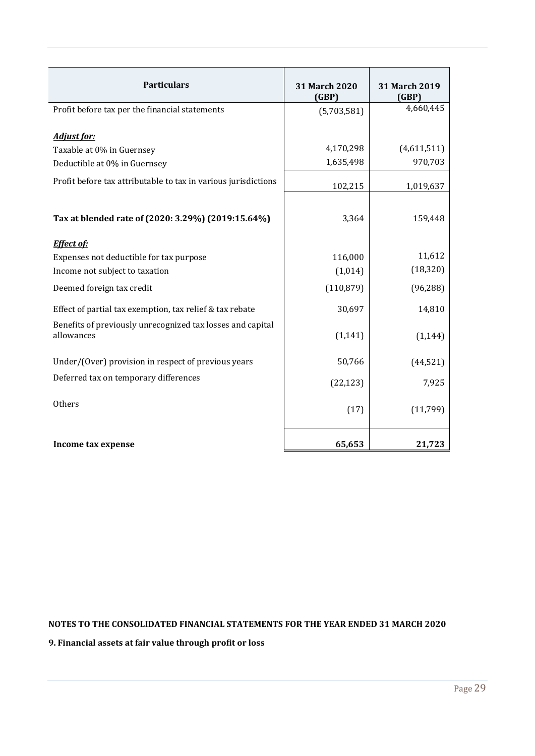| <b>Particulars</b>                                                                                                                                | 31 March 2020<br>(GBP)            | 31 March 2019<br>(GBP)              |
|---------------------------------------------------------------------------------------------------------------------------------------------------|-----------------------------------|-------------------------------------|
| Profit before tax per the financial statements                                                                                                    | (5,703,581)                       | 4,660,445                           |
| <b>Adjust for:</b><br>Taxable at 0% in Guernsey<br>Deductible at 0% in Guernsey<br>Profit before tax attributable to tax in various jurisdictions | 4,170,298<br>1,635,498<br>102,215 | (4,611,511)<br>970,703<br>1,019,637 |
| Tax at blended rate of (2020: 3.29%) (2019:15.64%)                                                                                                | 3,364                             | 159,448                             |
| <b>Effect of:</b><br>Expenses not deductible for tax purpose                                                                                      | 116,000                           | 11,612                              |
| Income not subject to taxation                                                                                                                    | (1,014)                           | (18, 320)                           |
| Deemed foreign tax credit                                                                                                                         | (110, 879)                        | (96, 288)                           |
| Effect of partial tax exemption, tax relief & tax rebate                                                                                          | 30,697                            | 14,810                              |
| Benefits of previously unrecognized tax losses and capital<br>allowances                                                                          | (1, 141)                          | (1, 144)                            |
| Under/(Over) provision in respect of previous years                                                                                               | 50,766                            | (44, 521)                           |
| Deferred tax on temporary differences                                                                                                             | (22, 123)                         | 7,925                               |
| <b>Others</b>                                                                                                                                     | (17)                              | (11,799)                            |
| Income tax expense                                                                                                                                | 65,653                            | 21,723                              |

**9. Financial assets at fair value through profit or loss**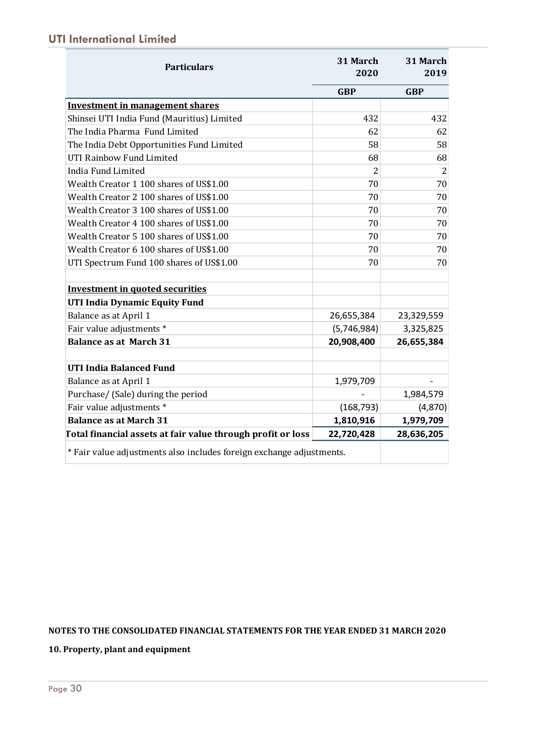|  | <b>UTI International Limited</b> |  |  |
|--|----------------------------------|--|--|
|--|----------------------------------|--|--|

| <b>Particulars</b>                                                   | 31 March<br>2020 | 31 March<br>2019 |
|----------------------------------------------------------------------|------------------|------------------|
|                                                                      | <b>GBP</b>       | <b>GBP</b>       |
| <b>Investment in management shares</b>                               |                  |                  |
| Shinsei UTI India Fund (Mauritius) Limited                           | 432              | 432              |
| The India Pharma Fund Limited                                        | 62               | 62               |
| The India Debt Opportunities Fund Limited                            | 58               | 58               |
| <b>UTI Rainbow Fund Limited</b>                                      | 68               | 68               |
| India Fund Limited                                                   | $\overline{2}$   | $\overline{2}$   |
| Wealth Creator 1 100 shares of US\$1.00                              | 70               | 70               |
| Wealth Creator 2 100 shares of US\$1.00                              | 70               | 70               |
| Wealth Creator 3 100 shares of US\$1.00                              | 70               | 70               |
| Wealth Creator 4 100 shares of US\$1.00                              | 70               | 70               |
| Wealth Creator 5 100 shares of US\$1.00                              | 70               | 70               |
| Wealth Creator 6 100 shares of US\$1.00                              | 70               | 70               |
| UTI Spectrum Fund 100 shares of US\$1.00                             | 70               | 70               |
| <b>Investment in quoted securities</b>                               |                  |                  |
| UTI India Dynamic Equity Fund                                        |                  |                  |
| Balance as at April 1                                                | 26,655,384       | 23,329,559       |
| Fair value adjustments *                                             | (5,746,984)      | 3,325,825        |
| <b>Balance as at March 31</b>                                        | 20,908,400       | 26,655,384       |
| <b>UTI India Balanced Fund</b>                                       |                  |                  |
| Balance as at April 1                                                | 1,979,709        |                  |
| Purchase/ (Sale) during the period                                   |                  | 1,984,579        |
| Fair value adjustments *                                             | (168, 793)       | (4,870)          |
| <b>Balance as at March 31</b>                                        | 1,810,916        | 1,979,709        |
| Total financial assets at fair value through profit or loss          | 22,720,428       | 28,636,205       |
| * Fair value adjustments also includes foreign exchange adjustments. |                  |                  |

# **10. Property, plant and equipment**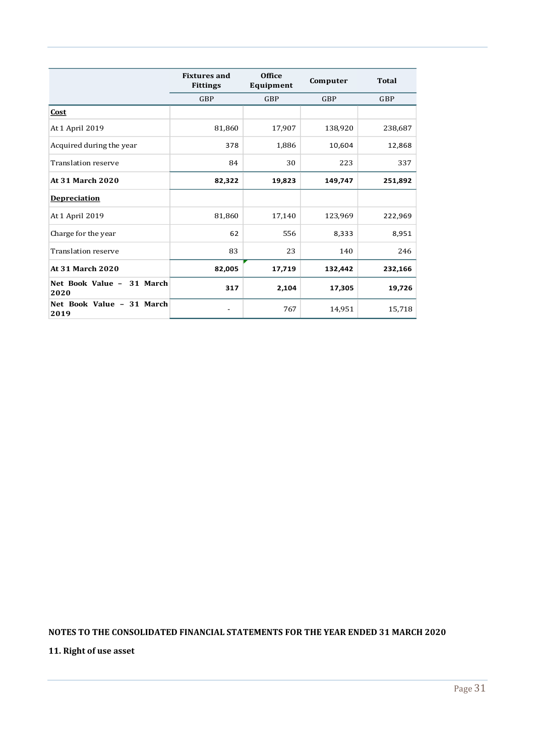|                                      | <b>Fixtures and</b><br><b>Fittings</b> | Office<br>Equipment | Computer   | <b>Total</b> |
|--------------------------------------|----------------------------------------|---------------------|------------|--------------|
|                                      | GBP                                    | <b>GBP</b>          | <b>GBP</b> | <b>GBP</b>   |
| <b>Cost</b>                          |                                        |                     |            |              |
| At 1 April 2019                      | 81,860                                 | 17,907              | 138,920    | 238,687      |
| Acquired during the year             | 378                                    | 1,886               | 10,604     | 12,868       |
| Translation reserve                  | 84                                     | 30                  | 223        | 337          |
| <b>At 31 March 2020</b>              | 82,322                                 | 19,823              | 149,747    | 251,892      |
| <b>Depreciation</b>                  |                                        |                     |            |              |
| At 1 April 2019                      | 81,860                                 | 17,140              | 123,969    | 222,969      |
| Charge for the year                  | 62                                     | 556                 | 8,333      | 8,951        |
| Translation reserve                  | 83                                     | 23                  | 140        | 246          |
| <b>At 31 March 2020</b>              | 82,005                                 | 17,719              | 132,442    | 232,166      |
| Net Book Value -<br>31 March<br>2020 | 317                                    | 2,104               | 17,305     | 19,726       |
| Net Book Value - 31 March<br>2019    | $\overline{\phantom{a}}$               | 767                 | 14,951     | 15,718       |

**11. Right of use asset**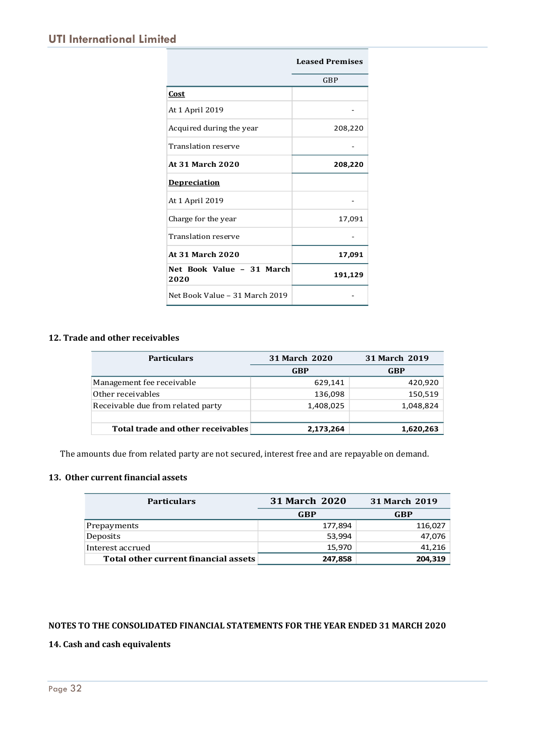|                                   | GBP     |
|-----------------------------------|---------|
| Cost                              |         |
| At 1 April 2019                   |         |
| Acquired during the year          | 208,220 |
| Translation reserve               |         |
| At 31 March 2020                  | 208,220 |
| <b>Depreciation</b>               |         |
| At 1 April 2019                   |         |
| Charge for the year               | 17,091  |
| Translation reserve               |         |
| At 31 March 2020                  | 17,091  |
| Net Book Value - 31 March<br>2020 | 191,129 |
| Net Book Value - 31 March 2019    |         |

#### **Leased Premises**

#### **12. Trade and other receivables**

| <b>Particulars</b>                | 31 March 2020 | <b>31 March 2019</b> |
|-----------------------------------|---------------|----------------------|
|                                   | <b>GBP</b>    | <b>GBP</b>           |
| Management fee receivable         | 629,141       | 420,920              |
| Other receivables                 | 136,098       | 150,519              |
| Receivable due from related party | 1,408,025     | 1,048,824            |
|                                   |               |                      |
| Total trade and other receivables | 2,173,264     | 1,620,263            |

The amounts due from related party are not secured, interest free and are repayable on demand.

#### **13. Other current financial assets**

| <b>Particulars</b>                   | <b>31 March 2020</b> | 31 March 2019 |
|--------------------------------------|----------------------|---------------|
|                                      | <b>GBP</b>           | <b>GBP</b>    |
| Prepayments                          | 177,894              | 116,027       |
| Deposits                             | 53,994               | 47,076        |
| Interest accrued                     | 15,970               | 41,216        |
| Total other current financial assets | 247,858              | 204.319       |

#### **NOTES TO THE CONSOLIDATED FINANCIAL STATEMENTS FOR THE YEAR ENDED 31 MARCH 2020**

#### **14. Cash and cash equivalents**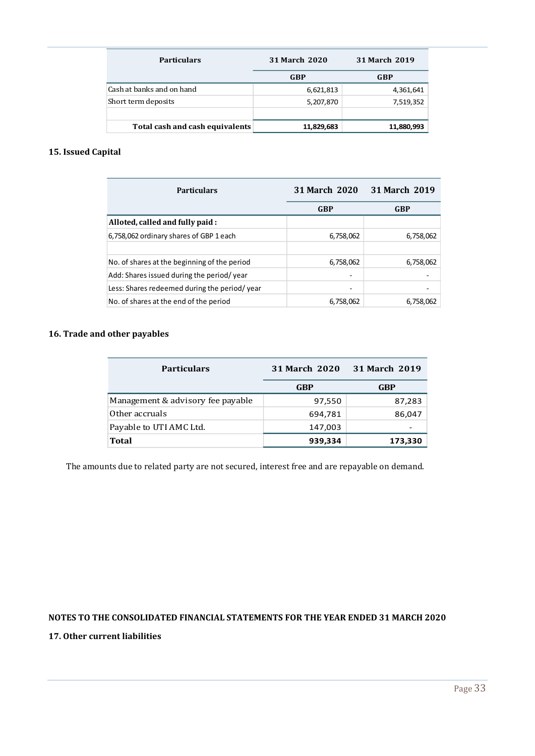| <b>Particulars</b>              | 31 March 2020 | 31 March 2019 |
|---------------------------------|---------------|---------------|
|                                 | <b>GBP</b>    | GBP           |
| Cash at banks and on hand       | 6,621,813     | 4,361,641     |
| Short term deposits             | 5,207,870     | 7,519,352     |
|                                 |               |               |
| Total cash and cash equivalents | 11,829,683    | 11,880,993    |

#### **15. Issued Capital**

| <b>Particulars</b>                           | 31 March 2020 | 31 March 2019 |
|----------------------------------------------|---------------|---------------|
|                                              | <b>GBP</b>    | <b>GBP</b>    |
| Alloted, called and fully paid:              |               |               |
| 6,758,062 ordinary shares of GBP 1 each      | 6,758,062     | 6,758,062     |
|                                              |               |               |
| No. of shares at the beginning of the period | 6,758,062     | 6,758,062     |
| Add: Shares issued during the period/year    |               |               |
| Less: Shares redeemed during the period/year | ٠             |               |
| No. of shares at the end of the period       | 6,758,062     | 6,758,062     |

# **16. Trade and other payables**

| <b>Particulars</b>                | 31 March 2020 | 31 March 2019 |
|-----------------------------------|---------------|---------------|
|                                   | <b>GBP</b>    | <b>GBP</b>    |
| Management & advisory fee payable | 97,550        | 87,283        |
| Other accruals                    | 694,781       | 86,047        |
| Payable to UTI AMC Ltd.           | 147,003       |               |
| <b>Total</b>                      | 939,334       | 173,330       |

The amounts due to related party are not secured, interest free and are repayable on demand.

#### **NOTES TO THE CONSOLIDATED FINANCIAL STATEMENTS FOR THE YEAR ENDED 31 MARCH 2020**

#### **17. Other current liabilities**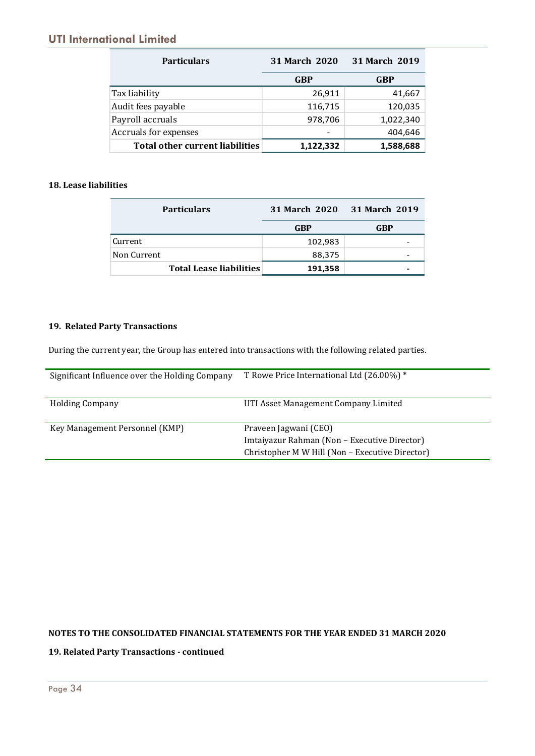| <b>Particulars</b>                     | 31 March 2020 | 31 March 2019 |
|----------------------------------------|---------------|---------------|
|                                        | <b>GBP</b>    | GBP           |
| Tax liability                          | 26,911        | 41,667        |
| Audit fees payable                     | 116,715       | 120,035       |
| Payroll accruals                       | 978,706       | 1,022,340     |
| Accruals for expenses                  |               | 404,646       |
| <b>Total other current liabilities</b> | 1,122,332     | 1,588,688     |

#### **18. Lease liabilities**

| <b>Particulars</b>             | 31 March 2020 | 31 March 2019 |
|--------------------------------|---------------|---------------|
|                                | <b>GBP</b>    | GBP           |
| Current                        | 102,983       |               |
| Non Current                    | 88,375        |               |
| <b>Total Lease liabilities</b> | 191,358       |               |

#### **19. Related Party Transactions**

During the current year, the Group has entered into transactions with the following related parties.

| Significant Influence over the Holding Company | T Rowe Price International Ltd (26.00%) *                                                                                |
|------------------------------------------------|--------------------------------------------------------------------------------------------------------------------------|
| <b>Holding Company</b>                         | UTI Asset Management Company Limited                                                                                     |
| Key Management Personnel (KMP)                 | Praveen Jagwani (CEO)<br>Imtaiyazur Rahman (Non - Executive Director)<br>Christopher M W Hill (Non - Executive Director) |

#### **NOTES TO THE CONSOLIDATED FINANCIAL STATEMENTS FOR THE YEAR ENDED 31 MARCH 2020**

#### **19. Related Party Transactions - continued**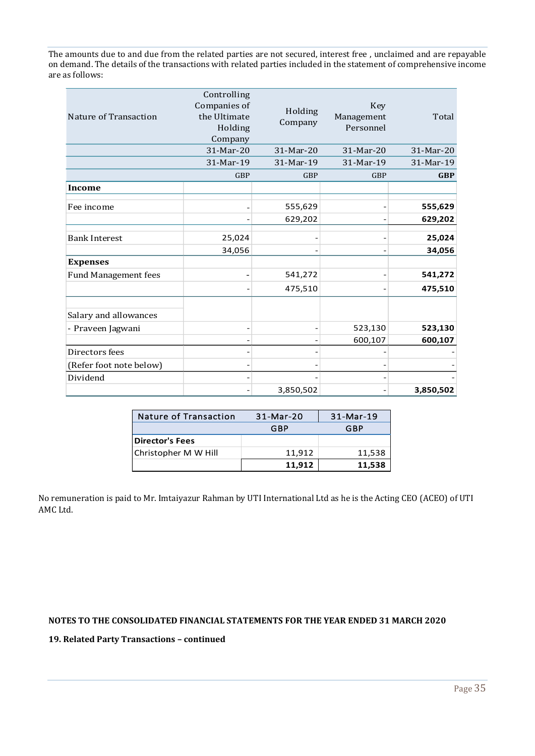The amounts due to and due from the related parties are not secured, interest free , unclaimed and are repayable on demand. The details of the transactions with related parties included in the statement of comprehensive income are as follows:

| Nature of Transaction       | Controlling<br>Companies of<br>the Ultimate<br>Holding<br>Company | Holding<br>Company | Key<br>Management<br>Personnel | Total       |
|-----------------------------|-------------------------------------------------------------------|--------------------|--------------------------------|-------------|
|                             | 31-Mar-20                                                         | 31-Mar-20          | 31-Mar-20                      | $31-Mar-20$ |
|                             | 31-Mar-19                                                         | 31-Mar-19          | 31-Mar-19                      | 31-Mar-19   |
|                             | <b>GBP</b>                                                        | <b>GBP</b>         | <b>GBP</b>                     | <b>GBP</b>  |
| Income                      |                                                                   |                    |                                |             |
| Fee income                  |                                                                   | 555,629            |                                | 555,629     |
|                             |                                                                   | 629,202            |                                | 629,202     |
| <b>Bank Interest</b>        | 25,024                                                            |                    |                                | 25,024      |
|                             | 34,056                                                            |                    |                                | 34,056      |
| <b>Expenses</b>             |                                                                   |                    |                                |             |
| <b>Fund Management fees</b> | -                                                                 | 541,272            |                                | 541,272     |
|                             |                                                                   | 475,510            |                                | 475,510     |
| Salary and allowances       |                                                                   |                    |                                |             |
| - Praveen Jagwani           | $\overline{\phantom{0}}$                                          |                    | 523,130                        | 523,130     |
|                             |                                                                   |                    | 600,107                        | 600,107     |
| Directors fees              |                                                                   |                    |                                |             |
| (Refer foot note below)     | $\overline{\phantom{a}}$                                          |                    |                                |             |
| Dividend                    |                                                                   |                    |                                |             |
|                             |                                                                   | 3,850,502          |                                | 3,850,502   |

| Nature of Transaction | 31-Mar-20 | 31-Mar-19 |
|-----------------------|-----------|-----------|
|                       | GBP       | GBP       |
| Director's Fees       |           |           |
| Christopher M W Hill  | 11,912    | 11,538    |
|                       | 11,912    | 11,538    |

No remuneration is paid to Mr. Imtaiyazur Rahman by UTI International Ltd as he is the Acting CEO (ACEO) of UTI AMC Ltd.

#### **NOTES TO THE CONSOLIDATED FINANCIAL STATEMENTS FOR THE YEAR ENDED 31 MARCH 2020**

**19. Related Party Transactions – continued**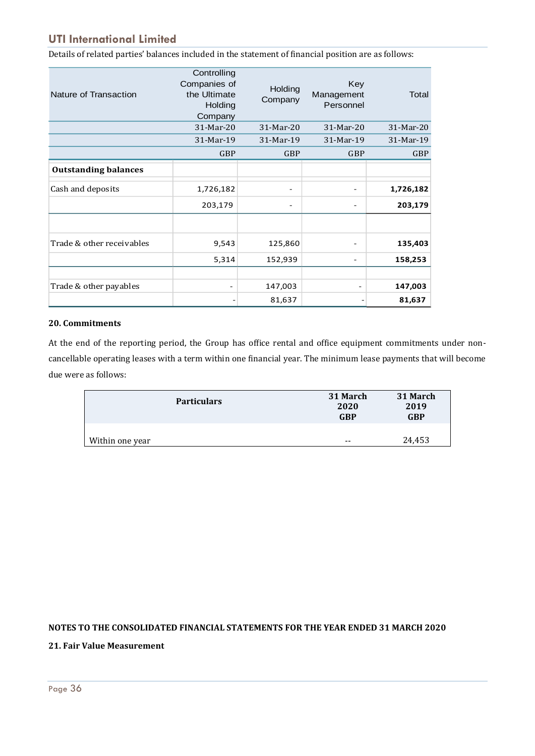Details of related parties' balances included in the statement of financial position are as follows:

| Nature of Transaction       | Controlling<br>Companies of<br>the Ultimate<br>Holding<br>Company | Holding<br>Company | Key<br>Management<br>Personnel | Total      |
|-----------------------------|-------------------------------------------------------------------|--------------------|--------------------------------|------------|
|                             | 31-Mar-20                                                         | 31-Mar-20          | 31-Mar-20                      | 31-Mar-20  |
|                             | 31-Mar-19                                                         | 31-Mar-19          | 31-Mar-19                      | 31-Mar-19  |
|                             | <b>GBP</b>                                                        | <b>GBP</b>         | GBP                            | <b>GBP</b> |
| <b>Outstanding balances</b> |                                                                   |                    |                                |            |
| Cash and deposits           | 1,726,182                                                         | ٠                  |                                | 1,726,182  |
|                             | 203,179                                                           | -                  | -                              | 203,179    |
|                             |                                                                   |                    |                                |            |
| Trade & other receivables   | 9,543                                                             | 125,860            |                                | 135,403    |
|                             | 5,314                                                             | 152,939            |                                | 158,253    |
|                             |                                                                   |                    |                                |            |
| Trade & other payables      |                                                                   | 147,003            |                                | 147,003    |
|                             |                                                                   | 81,637             |                                | 81,637     |

#### **20. Commitments**

At the end of the reporting period, the Group has office rental and office equipment commitments under noncancellable operating leases with a term within one financial year. The minimum lease payments that will become due were as follows:

| <b>Particulars</b> | 31 March<br>2020<br><b>GBP</b> | 31 March<br>2019<br><b>GBP</b> |
|--------------------|--------------------------------|--------------------------------|
| Within one year    | $- -$                          | 24,453                         |

#### **NOTES TO THE CONSOLIDATED FINANCIAL STATEMENTS FOR THE YEAR ENDED 31 MARCH 2020**

#### **21. Fair Value Measurement**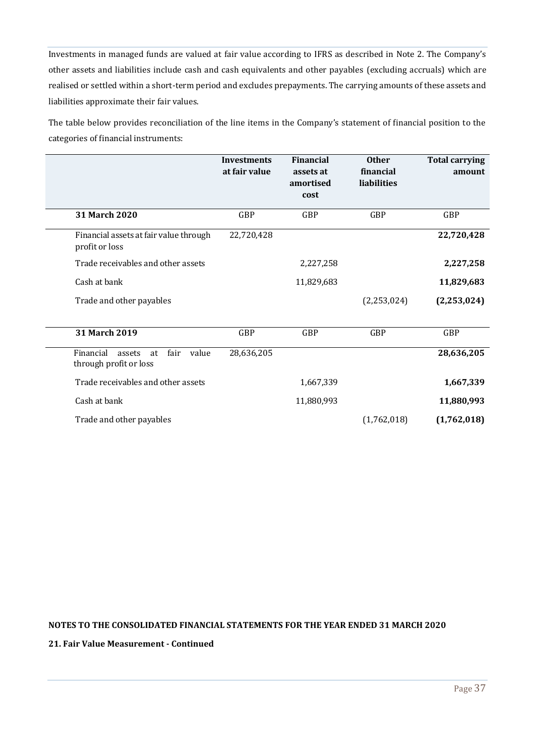Investments in managed funds are valued at fair value according to IFRS as described in Note 2. The Company's other assets and liabilities include cash and cash equivalents and other payables (excluding accruals) which are realised or settled within a short-term period and excludes prepayments. The carrying amounts of these assets and liabilities approximate their fair values.

The table below provides reconciliation of the line items in the Company's statement of financial position to the categories of financial instruments:

|                                                                      | <b>Investments</b> | <b>Financial</b>       | <b>Other</b>             | <b>Total carrying</b> |
|----------------------------------------------------------------------|--------------------|------------------------|--------------------------|-----------------------|
|                                                                      | at fair value      | assets at<br>amortised | financial<br>liabilities | amount                |
|                                                                      |                    | cost                   |                          |                       |
|                                                                      |                    |                        |                          |                       |
| 31 March 2020                                                        | GBP                | GBP                    | GBP                      | GBP                   |
| Financial assets at fair value through<br>profit or loss             | 22,720,428         |                        |                          | 22,720,428            |
| Trade receivables and other assets                                   |                    | 2,227,258              |                          | 2,227,258             |
| Cash at bank                                                         |                    | 11,829,683             |                          | 11,829,683            |
| Trade and other payables                                             |                    |                        | (2,253,024)              | (2, 253, 024)         |
|                                                                      |                    |                        |                          |                       |
| 31 March 2019                                                        | GBP                | GBP                    | GBP                      | GBP                   |
| Financial<br>fair<br>value<br>assets<br>at<br>through profit or loss | 28,636,205         |                        |                          | 28,636,205            |
| Trade receivables and other assets                                   |                    | 1,667,339              |                          | 1,667,339             |
| Cash at bank                                                         |                    | 11,880,993             |                          | 11,880,993            |
| Trade and other payables                                             |                    |                        | (1,762,018)              | (1,762,018)           |

#### **NOTES TO THE CONSOLIDATED FINANCIAL STATEMENTS FOR THE YEAR ENDED 31 MARCH 2020**

**21. Fair Value Measurement - Continued**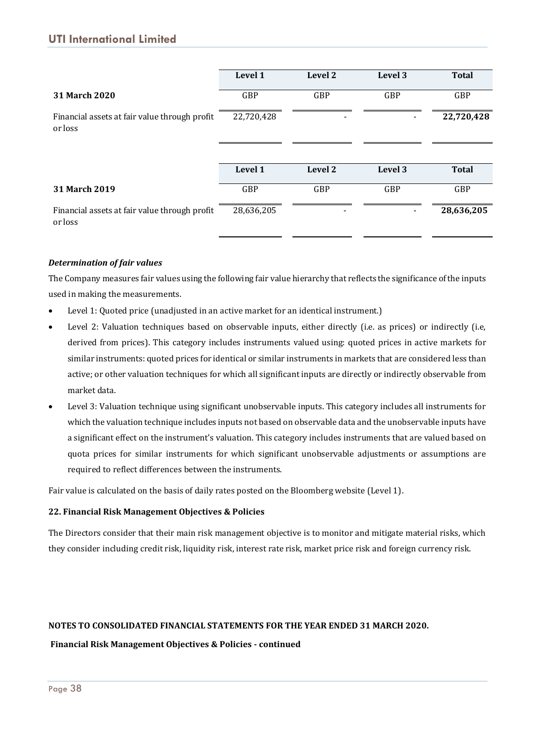|                                                          | Level 1    | Level 2 | Level 3    | <b>Total</b> |
|----------------------------------------------------------|------------|---------|------------|--------------|
| 31 March 2020                                            | GBP        | GBP     | <b>GBP</b> | GBP          |
| Financial assets at fair value through profit<br>or loss | 22,720,428 |         |            | 22,720,428   |
|                                                          |            |         |            |              |
|                                                          | Level 1    | Level 2 | Level 3    | <b>Total</b> |
| <b>31 March 2019</b>                                     | GBP        | GBP     | GBP        | GBP          |
| Financial assets at fair value through profit<br>or loss | 28,636,205 |         |            | 28,636,205   |

#### *Determination of fair values*

The Company measures fair values using the following fair value hierarchy that reflects the significance of the inputs used in making the measurements.

- Level 1: Quoted price (unadjusted in an active market for an identical instrument.)
- Level 2: Valuation techniques based on observable inputs, either directly (i.e. as prices) or indirectly (i.e, derived from prices). This category includes instruments valued using: quoted prices in active markets for similar instruments: quoted prices for identical or similar instruments in markets that are considered less than active; or other valuation techniques for which all significant inputs are directly or indirectly observable from market data.
- Level 3: Valuation technique using significant unobservable inputs. This category includes all instruments for which the valuation technique includes inputs not based on observable data and the unobservable inputs have a significant effect on the instrument's valuation. This category includes instruments that are valued based on quota prices for similar instruments for which significant unobservable adjustments or assumptions are required to reflect differences between the instruments.

Fair value is calculated on the basis of daily rates posted on the Bloomberg website (Level 1).

#### **22. Financial Risk Management Objectives & Policies**

The Directors consider that their main risk management objective is to monitor and mitigate material risks, which they consider including credit risk, liquidity risk, interest rate risk, market price risk and foreign currency risk.

#### **NOTES TO CONSOLIDATED FINANCIAL STATEMENTS FOR THE YEAR ENDED 31 MARCH 2020.**

#### **Financial Risk Management Objectives & Policies - continued**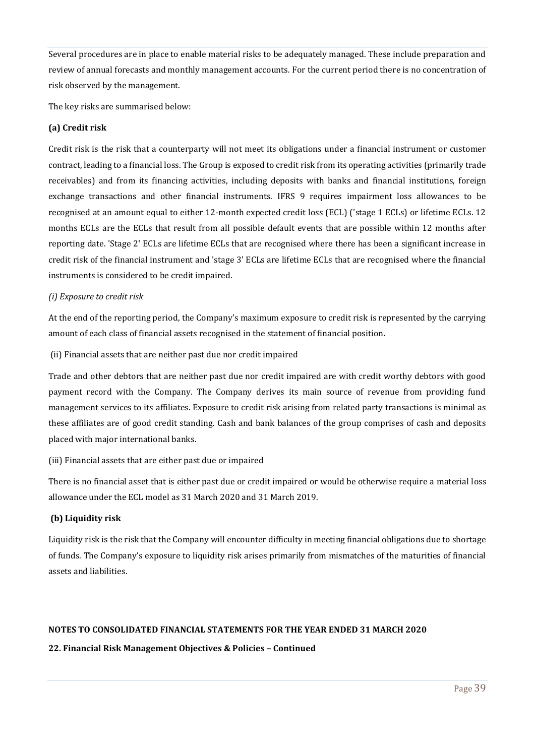Several procedures are in place to enable material risks to be adequately managed. These include preparation and review of annual forecasts and monthly management accounts. For the current period there is no concentration of risk observed by the management.

The key risks are summarised below:

#### **(a) Credit risk**

Credit risk is the risk that a counterparty will not meet its obligations under a financial instrument or customer contract, leading to a financial loss. The Group is exposed to credit risk from its operating activities (primarily trade receivables) and from its financing activities, including deposits with banks and financial institutions, foreign exchange transactions and other financial instruments. IFRS 9 requires impairment loss allowances to be recognised at an amount equal to either 12-month expected credit loss (ECL) ('stage 1 ECLs) or lifetime ECLs. 12 months ECLs are the ECLs that result from all possible default events that are possible within 12 months after reporting date. 'Stage 2' ECLs are lifetime ECLs that are recognised where there has been a significant increase in credit risk of the financial instrument and 'stage 3' ECLs are lifetime ECLs that are recognised where the financial instruments is considered to be credit impaired.

#### *(i) Exposure to credit risk*

At the end of the reporting period, the Company's maximum exposure to credit risk is represented by the carrying amount of each class of financial assets recognised in the statement of financial position.

(ii) Financial assets that are neither past due nor credit impaired

Trade and other debtors that are neither past due nor credit impaired are with credit worthy debtors with good payment record with the Company. The Company derives its main source of revenue from providing fund management services to its affiliates. Exposure to credit risk arising from related party transactions is minimal as these affiliates are of good credit standing. Cash and bank balances of the group comprises of cash and deposits placed with major international banks.

(iii) Financial assets that are either past due or impaired

There is no financial asset that is either past due or credit impaired or would be otherwise require a material loss allowance under the ECL model as 31 March 2020 and 31 March 2019.

#### **(b) Liquidity risk**

Liquidity risk is the risk that the Company will encounter difficulty in meeting financial obligations due to shortage of funds. The Company's exposure to liquidity risk arises primarily from mismatches of the maturities of financial assets and liabilities.

#### **NOTES TO CONSOLIDATED FINANCIAL STATEMENTS FOR THE YEAR ENDED 31 MARCH 2020**

#### **22. Financial Risk Management Objectives & Policies – Continued**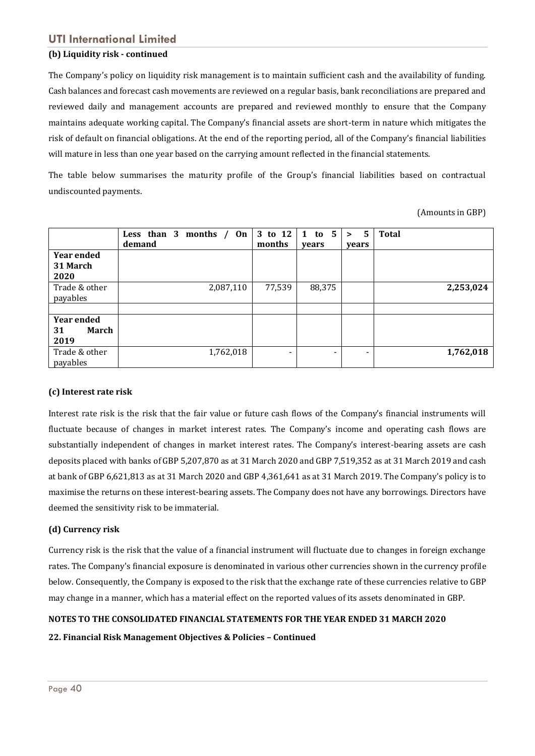#### **(b) Liquidity risk - continued**

The Company's policy on liquidity risk management is to maintain sufficient cash and the availability of funding. Cash balances and forecast cash movements are reviewed on a regular basis, bank reconciliations are prepared and reviewed daily and management accounts are prepared and reviewed monthly to ensure that the Company maintains adequate working capital. The Company's financial assets are short-term in nature which mitigates the risk of default on financial obligations. At the end of the reporting period, all of the Company's financial liabilities will mature in less than one year based on the carrying amount reflected in the financial statements.

The table below summarises the maturity profile of the Group's financial liabilities based on contractual undiscounted payments.

(Amounts in GBP)

|                                          | Less than 3 months / On<br>demand | 3 to 12<br>months | $1$ to $5$<br>vears      | 5<br>$\geq$<br>years | <b>Total</b> |
|------------------------------------------|-----------------------------------|-------------------|--------------------------|----------------------|--------------|
| <b>Year ended</b><br>31 March<br>2020    |                                   |                   |                          |                      |              |
| Trade & other<br>payables                | 2,087,110                         | 77,539            | 88,375                   |                      | 2,253,024    |
| <b>Year ended</b><br>March<br>31<br>2019 |                                   |                   |                          |                      |              |
| Trade & other<br>payables                | 1,762,018                         |                   | $\overline{\phantom{a}}$ |                      | 1,762,018    |

#### **(c) Interest rate risk**

Interest rate risk is the risk that the fair value or future cash flows of the Company's financial instruments will fluctuate because of changes in market interest rates. The Company's income and operating cash flows are substantially independent of changes in market interest rates. The Company's interest-bearing assets are cash deposits placed with banks of GBP 5,207,870 as at 31 March 2020 and GBP 7,519,352 as at 31 March 2019 and cash at bank of GBP 6,621,813 as at 31 March 2020 and GBP 4,361,641 as at 31 March 2019. The Company's policy is to maximise the returns on these interest-bearing assets. The Company does not have any borrowings. Directors have deemed the sensitivity risk to be immaterial.

#### **(d) Currency risk**

Currency risk is the risk that the value of a financial instrument will fluctuate due to changes in foreign exchange rates. The Company's financial exposure is denominated in various other currencies shown in the currency profile below. Consequently, the Company is exposed to the risk that the exchange rate of these currencies relative to GBP may change in a manner, which has a material effect on the reported values of its assets denominated in GBP.

#### **NOTES TO THE CONSOLIDATED FINANCIAL STATEMENTS FOR THE YEAR ENDED 31 MARCH 2020**

**22. Financial Risk Management Objectives & Policies – Continued**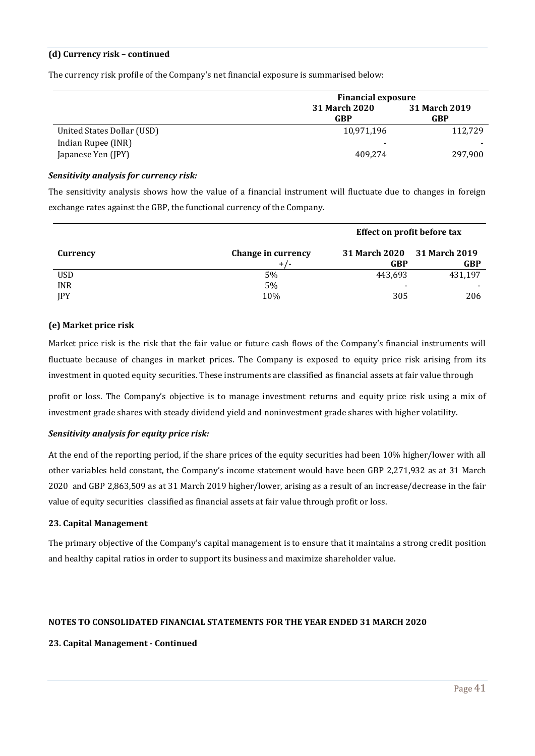#### **(d) Currency risk – continued**

The currency risk profile of the Company's net financial exposure is summarised below:

|                            | <b>Financial exposure</b>          |                                    |  |  |
|----------------------------|------------------------------------|------------------------------------|--|--|
|                            | <b>31 March 2020</b><br><b>GBP</b> | <b>31 March 2019</b><br><b>GBP</b> |  |  |
|                            |                                    |                                    |  |  |
| United States Dollar (USD) | 10,971,196                         | 112,729                            |  |  |
| Indian Rupee (INR)         | $\overline{\phantom{0}}$           |                                    |  |  |
| Japanese Yen (JPY)         | 409.274                            | 297,900                            |  |  |

#### *Sensitivity analysis for currency risk:*

The sensitivity analysis shows how the value of a financial instrument will fluctuate due to changes in foreign exchange rates against the GBP, the functional currency of the Company.

|            |                    | Effect on profit before tax |            |
|------------|--------------------|-----------------------------|------------|
| Currency   | Change in currency | 31 March 2020 31 March 2019 |            |
|            | $+/-$              | <b>GBP</b>                  | <b>GBP</b> |
| <b>USD</b> | 5%                 | 443,693                     | 431,197    |
| <b>INR</b> | 5%                 | -                           |            |
| JPY        | 10%                | 305                         | 206        |

#### **(e) Market price risk**

Market price risk is the risk that the fair value or future cash flows of the Company's financial instruments will fluctuate because of changes in market prices. The Company is exposed to equity price risk arising from its investment in quoted equity securities. These instruments are classified as financial assets at fair value through

profit or loss. The Company's objective is to manage investment returns and equity price risk using a mix of investment grade shares with steady dividend yield and noninvestment grade shares with higher volatility.

#### *Sensitivity analysis for equity price risk:*

At the end of the reporting period, if the share prices of the equity securities had been 10% higher/lower with all other variables held constant, the Company's income statement would have been GBP 2,271,932 as at 31 March 2020 and GBP 2,863,509 as at 31 March 2019 higher/lower, arising as a result of an increase/decrease in the fair value of equity securities classified as financial assets at fair value through profit or loss.

#### **23. Capital Management**

The primary objective of the Company's capital management is to ensure that it maintains a strong credit position and healthy capital ratios in order to support its business and maximize shareholder value.

#### **NOTES TO CONSOLIDATED FINANCIAL STATEMENTS FOR THE YEAR ENDED 31 MARCH 2020**

#### **23. Capital Management - Continued**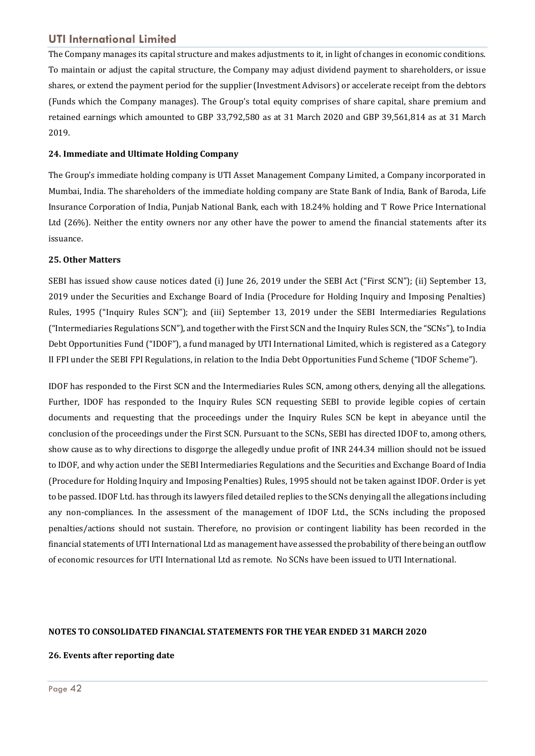The Company manages its capital structure and makes adjustments to it, in light of changes in economic conditions. To maintain or adjust the capital structure, the Company may adjust dividend payment to shareholders, or issue shares, or extend the payment period for the supplier (Investment Advisors) or accelerate receipt from the debtors (Funds which the Company manages). The Group's total equity comprises of share capital, share premium and retained earnings which amounted to GBP 33,792,580 as at 31 March 2020 and GBP 39,561,814 as at 31 March 2019.

#### **24. Immediate and Ultimate Holding Company**

The Group's immediate holding company is UTI Asset Management Company Limited, a Company incorporated in Mumbai, India. The shareholders of the immediate holding company are State Bank of India, Bank of Baroda, Life Insurance Corporation of India, Punjab National Bank, each with 18.24% holding and T Rowe Price International Ltd (26%). Neither the entity owners nor any other have the power to amend the financial statements after its issuance.

#### **25. Other Matters**

SEBI has issued show cause notices dated (i) June 26, 2019 under the SEBI Act ("First SCN"); (ii) September 13, 2019 under the Securities and Exchange Board of India (Procedure for Holding Inquiry and Imposing Penalties) Rules, 1995 ("Inquiry Rules SCN"); and (iii) September 13, 2019 under the SEBI Intermediaries Regulations ("Intermediaries Regulations SCN"), and together with the First SCN and the Inquiry Rules SCN, the "SCNs"), to India Debt Opportunities Fund ("IDOF"), a fund managed by UTI International Limited, which is registered as a Category II FPI under the SEBI FPI Regulations, in relation to the India Debt Opportunities Fund Scheme ("IDOF Scheme").

IDOF has responded to the First SCN and the Intermediaries Rules SCN, among others, denying all the allegations. Further, IDOF has responded to the Inquiry Rules SCN requesting SEBI to provide legible copies of certain documents and requesting that the proceedings under the Inquiry Rules SCN be kept in abeyance until the conclusion of the proceedings under the First SCN. Pursuant to the SCNs, SEBI has directed IDOF to, among others, show cause as to why directions to disgorge the allegedly undue profit of INR 244.34 million should not be issued to IDOF, and why action under the SEBI Intermediaries Regulations and the Securities and Exchange Board of India (Procedure for Holding Inquiry and Imposing Penalties) Rules, 1995 should not be taken against IDOF. Order is yet to be passed. IDOF Ltd. has through its lawyers filed detailed replies to the SCNs denying all the allegations including any non-compliances. In the assessment of the management of IDOF Ltd., the SCNs including the proposed penalties/actions should not sustain. Therefore, no provision or contingent liability has been recorded in the financial statements of UTI International Ltd as management have assessed the probability of there being an outflow of economic resources for UTI International Ltd as remote. No SCNs have been issued to UTI International.

## **NOTES TO CONSOLIDATED FINANCIAL STATEMENTS FOR THE YEAR ENDED 31 MARCH 2020**

#### **26. Events after reporting date**